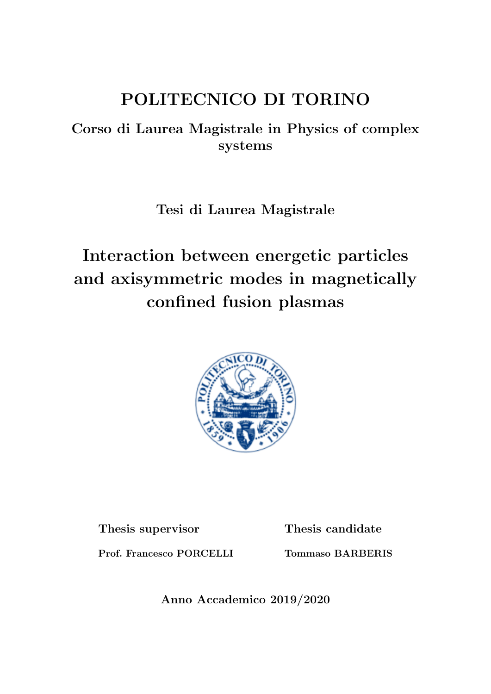# POLITECNICO DI TORINO

## Corso di Laurea Magistrale in Physics of complex systems

Tesi di Laurea Magistrale

# Interaction between energetic particles and axisymmetric modes in magnetically confined fusion plasmas



Thesis supervisor

Thesis candidate

Prof. Francesco PORCELLI

Tommaso BARBERIS

Anno Accademico 2019/2020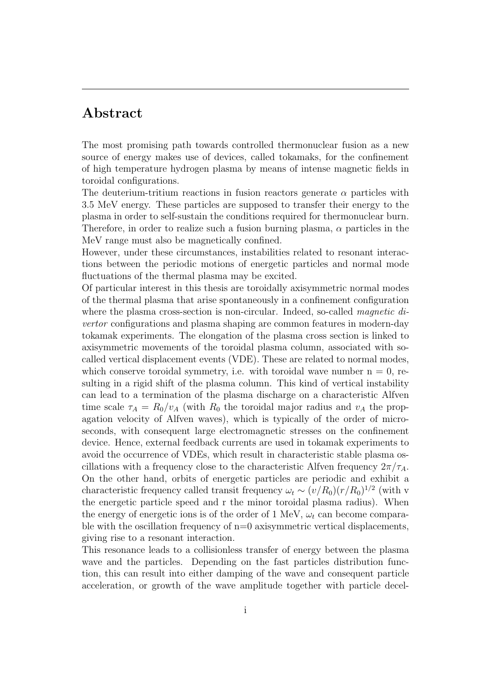### Abstract

The most promising path towards controlled thermonuclear fusion as a new source of energy makes use of devices, called tokamaks, for the confinement of high temperature hydrogen plasma by means of intense magnetic fields in toroidal configurations.

The deuterium-tritium reactions in fusion reactors generate  $\alpha$  particles with 3.5 MeV energy. These particles are supposed to transfer their energy to the plasma in order to self-sustain the conditions required for thermonuclear burn. Therefore, in order to realize such a fusion burning plasma,  $\alpha$  particles in the MeV range must also be magnetically confined.

However, under these circumstances, instabilities related to resonant interactions between the periodic motions of energetic particles and normal mode fluctuations of the thermal plasma may be excited.

Of particular interest in this thesis are toroidally axisymmetric normal modes of the thermal plasma that arise spontaneously in a confinement configuration where the plasma cross-section is non-circular. Indeed, so-called *magnetic di*vertor configurations and plasma shaping are common features in modern-day tokamak experiments. The elongation of the plasma cross section is linked to axisymmetric movements of the toroidal plasma column, associated with socalled vertical displacement events (VDE). These are related to normal modes, which conserve toroidal symmetry, i.e. with toroidal wave number  $n = 0$ , resulting in a rigid shift of the plasma column. This kind of vertical instability can lead to a termination of the plasma discharge on a characteristic Alfven time scale  $\tau_A = R_0/v_A$  (with  $R_0$  the toroidal major radius and  $v_A$  the propagation velocity of Alfven waves), which is typically of the order of microseconds, with consequent large electromagnetic stresses on the confinement device. Hence, external feedback currents are used in tokamak experiments to avoid the occurrence of VDEs, which result in characteristic stable plasma oscillations with a frequency close to the characteristic Alfven frequency  $2\pi/\tau_A$ . On the other hand, orbits of energetic particles are periodic and exhibit a characteristic frequency called transit frequency  $\omega_t \sim (v/R_0)(r/R_0)^{1/2}$  (with v the energetic particle speed and r the minor toroidal plasma radius). When the energy of energetic ions is of the order of 1 MeV,  $\omega_t$  can become comparable with the oscillation frequency of  $n=0$  axisymmetric vertical displacements, giving rise to a resonant interaction.

This resonance leads to a collisionless transfer of energy between the plasma wave and the particles. Depending on the fast particles distribution function, this can result into either damping of the wave and consequent particle acceleration, or growth of the wave amplitude together with particle decel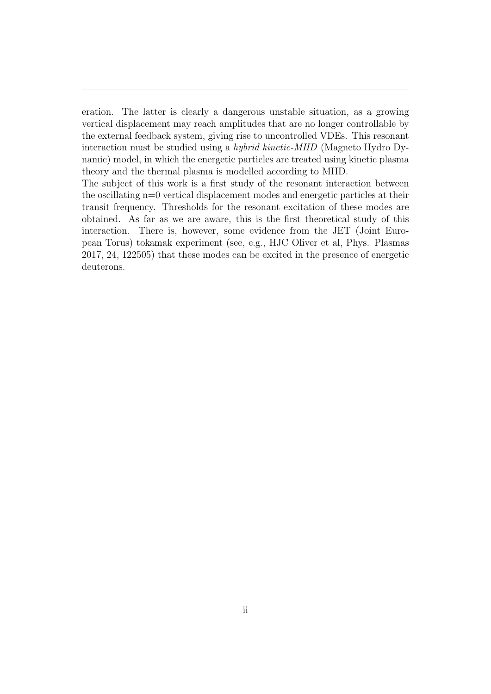eration. The latter is clearly a dangerous unstable situation, as a growing vertical displacement may reach amplitudes that are no longer controllable by the external feedback system, giving rise to uncontrolled VDEs. This resonant interaction must be studied using a hybrid kinetic-MHD (Magneto Hydro Dynamic) model, in which the energetic particles are treated using kinetic plasma theory and the thermal plasma is modelled according to MHD.

The subject of this work is a first study of the resonant interaction between the oscillating n=0 vertical displacement modes and energetic particles at their transit frequency. Thresholds for the resonant excitation of these modes are obtained. As far as we are aware, this is the first theoretical study of this interaction. There is, however, some evidence from the JET (Joint European Torus) tokamak experiment (see, e.g., HJC Oliver et al, Phys. Plasmas 2017, 24, 122505) that these modes can be excited in the presence of energetic deuterons.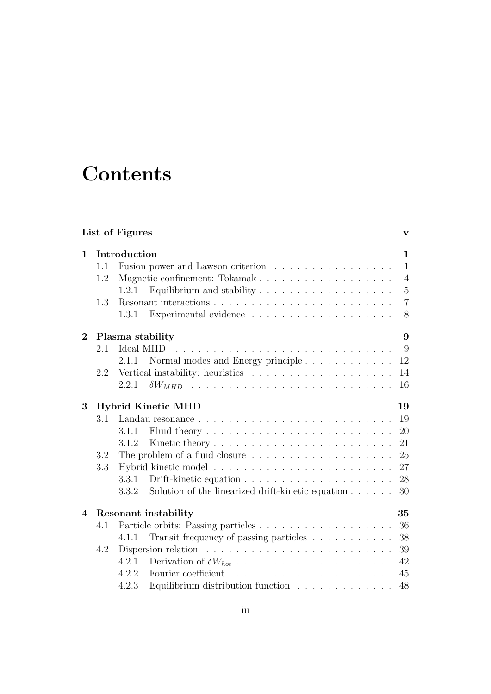# **Contents**

|                          |                                 | List of Figures                                                            | V              |  |  |  |  |  |  |  |  |  |
|--------------------------|---------------------------------|----------------------------------------------------------------------------|----------------|--|--|--|--|--|--|--|--|--|
| $\mathbf 1$              |                                 | Introduction                                                               | $\mathbf{1}$   |  |  |  |  |  |  |  |  |  |
|                          | 1.1                             | Fusion power and Lawson criterion                                          | $\mathbf{1}$   |  |  |  |  |  |  |  |  |  |
|                          | 1.2                             |                                                                            | $\overline{4}$ |  |  |  |  |  |  |  |  |  |
|                          |                                 | 1.2.1                                                                      | $\overline{5}$ |  |  |  |  |  |  |  |  |  |
|                          | 1.3                             |                                                                            | $\overline{7}$ |  |  |  |  |  |  |  |  |  |
|                          |                                 | Experimental evidence $\ldots \ldots \ldots \ldots \ldots \ldots$<br>1.3.1 | 8              |  |  |  |  |  |  |  |  |  |
| $\overline{2}$           |                                 | Plasma stability                                                           | 9              |  |  |  |  |  |  |  |  |  |
|                          | 2.1                             |                                                                            | 9              |  |  |  |  |  |  |  |  |  |
|                          |                                 | Normal modes and Energy principle<br>2.1.1                                 | 12             |  |  |  |  |  |  |  |  |  |
|                          | 2.2                             |                                                                            | 14             |  |  |  |  |  |  |  |  |  |
|                          |                                 | 2.2.1                                                                      | 16             |  |  |  |  |  |  |  |  |  |
| 3                        | 19<br><b>Hybrid Kinetic MHD</b> |                                                                            |                |  |  |  |  |  |  |  |  |  |
|                          | 3.1                             |                                                                            | 19             |  |  |  |  |  |  |  |  |  |
|                          |                                 | 3.1.1                                                                      | 20             |  |  |  |  |  |  |  |  |  |
|                          |                                 | 3.1.2                                                                      | 21             |  |  |  |  |  |  |  |  |  |
|                          | 3.2                             |                                                                            | 25             |  |  |  |  |  |  |  |  |  |
|                          | 3.3                             |                                                                            | 27             |  |  |  |  |  |  |  |  |  |
|                          |                                 | 3.3.1                                                                      | 28             |  |  |  |  |  |  |  |  |  |
|                          |                                 | Solution of the linearized drift-kinetic equation $\ldots \ldots$<br>3.3.2 | 30             |  |  |  |  |  |  |  |  |  |
| $\overline{\mathcal{A}}$ |                                 | Resonant instability                                                       | 35             |  |  |  |  |  |  |  |  |  |
|                          | 4.1                             |                                                                            | 36             |  |  |  |  |  |  |  |  |  |
|                          |                                 | Transit frequency of passing particles<br>4.1.1                            | 38             |  |  |  |  |  |  |  |  |  |
|                          | 4.2                             | Dispersion relation $\ldots \ldots \ldots \ldots \ldots \ldots \ldots$     | 39             |  |  |  |  |  |  |  |  |  |
|                          |                                 | 4.2.1                                                                      | 42             |  |  |  |  |  |  |  |  |  |
|                          |                                 | 4.2.2                                                                      | 45             |  |  |  |  |  |  |  |  |  |
|                          |                                 | Equilibrium distribution function $\ldots \ldots \ldots \ldots$<br>4.2.3   | 48             |  |  |  |  |  |  |  |  |  |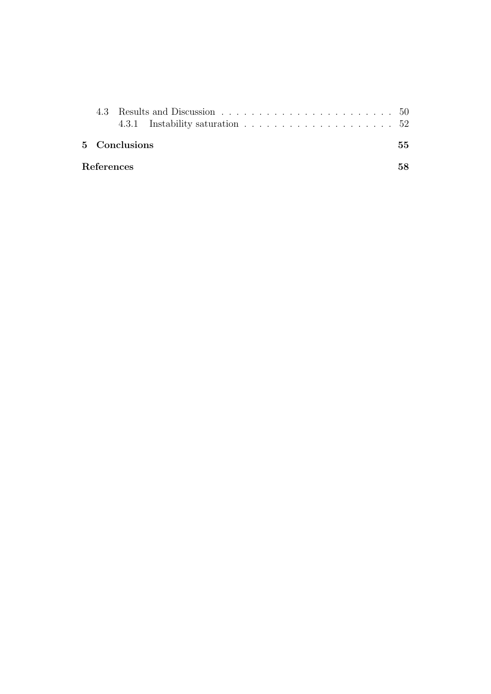|            | 5 Conclusions |  |  |  |  |  |  |  |  | 55 |
|------------|---------------|--|--|--|--|--|--|--|--|----|
| References |               |  |  |  |  |  |  |  |  | 58 |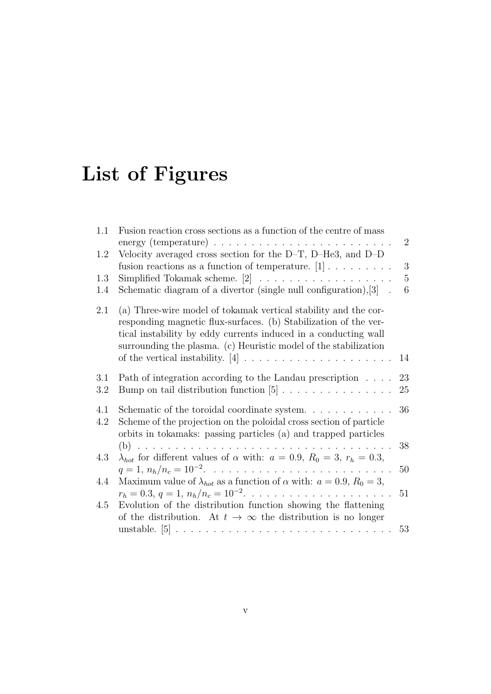# List of Figures

| 1.1        | Fusion reaction cross sections as a function of the centre of mass                                                                                                                                                                                                         | $\overline{2}$      |
|------------|----------------------------------------------------------------------------------------------------------------------------------------------------------------------------------------------------------------------------------------------------------------------------|---------------------|
| 1.2        | Velocity averaged cross section for the $D-T$ , $D-He3$ , and $D-D$                                                                                                                                                                                                        |                     |
| 1.3        | fusion reactions as a function of temperature. $[1] \ldots \ldots \ldots$<br>Simplified Tokamak scheme. $[2]$                                                                                                                                                              | 3<br>$\overline{5}$ |
| 1.4        | Schematic diagram of a divertor (single null configuration), $[3]$ .                                                                                                                                                                                                       | 6                   |
| 2.1        | (a) Three-wire model of tokamak vertical stability and the cor-<br>responding magnetic flux-surfaces. (b) Stabilization of the ver-<br>tical instability by eddy currents induced in a conducting wall<br>surrounding the plasma. (c) Heuristic model of the stabilization | 14                  |
| 3.1        | Path of integration according to the Landau prescription                                                                                                                                                                                                                   | 23                  |
| 3.2        | Bump on tail distribution function $[5]$                                                                                                                                                                                                                                   | 25                  |
| 4.1<br>4.2 | Schematic of the toroidal coordinate system. $\ldots$<br>Scheme of the projection on the poloidal cross section of particle<br>orbits in tokamaks: passing particles (a) and trapped particles                                                                             | 36                  |
|            |                                                                                                                                                                                                                                                                            | 38                  |
| 4.3        | $\lambda_{hot}$ for different values of $\alpha$ with: $a = 0.9$ , $R_0 = 3$ , $r_h = 0.3$ ,                                                                                                                                                                               |                     |
|            |                                                                                                                                                                                                                                                                            | 50                  |
| 4.4        | Maximum value of $\lambda_{hot}$ as a function of $\alpha$ with: $a = 0.9$ , $R_0 = 3$ ,<br>$r_h = 0.3, q = 1, n_h/n_c = 10^{-2}. \ldots \ldots \ldots \ldots \ldots \ldots \ldots$                                                                                        | 51                  |
| 4.5        | Evolution of the distribution function showing the flattening                                                                                                                                                                                                              |                     |
|            | of the distribution. At $t \to \infty$ the distribution is no longer                                                                                                                                                                                                       |                     |
|            |                                                                                                                                                                                                                                                                            | 53                  |
|            |                                                                                                                                                                                                                                                                            |                     |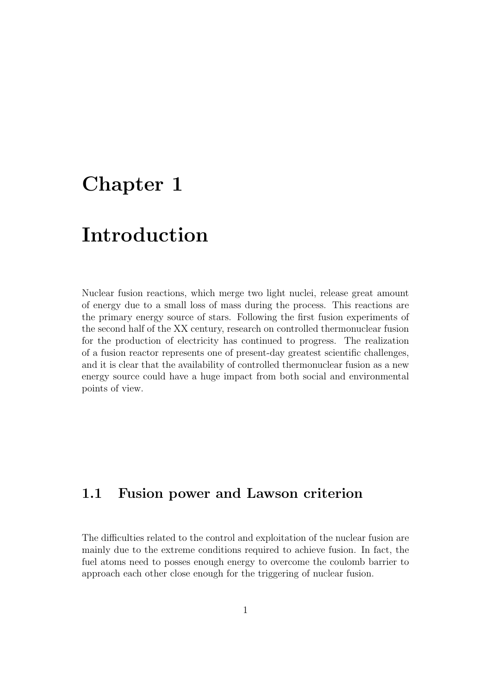# Chapter 1

# Introduction

Nuclear fusion reactions, which merge two light nuclei, release great amount of energy due to a small loss of mass during the process. This reactions are the primary energy source of stars. Following the first fusion experiments of the second half of the XX century, research on controlled thermonuclear fusion for the production of electricity has continued to progress. The realization of a fusion reactor represents one of present-day greatest scientific challenges, and it is clear that the availability of controlled thermonuclear fusion as a new energy source could have a huge impact from both social and environmental points of view.

## 1.1 Fusion power and Lawson criterion

The difficulties related to the control and exploitation of the nuclear fusion are mainly due to the extreme conditions required to achieve fusion. In fact, the fuel atoms need to posses enough energy to overcome the coulomb barrier to approach each other close enough for the triggering of nuclear fusion.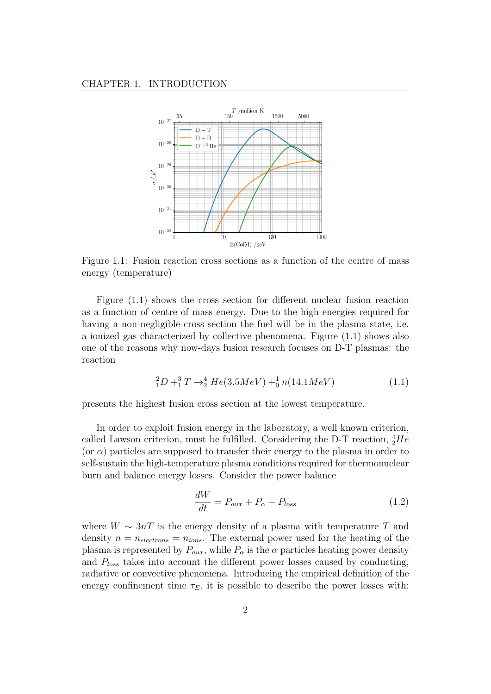

Figure 1.1: Fusion reaction cross sections as a function of the centre of mass energy (temperature)

Figure (1.1) shows the cross section for different nuclear fusion reaction as a function of centre of mass energy. Due to the high energies required for having a non-negligible cross section the fuel will be in the plasma state, i.e. a ionized gas characterized by collective phenomena. Figure (1.1) shows also one of the reasons why now-days fusion research focuses on D-T plasmas: the reaction

$$
{}_{1}^{2}D + {}_{1}^{3}T \rightarrow {}_{2}^{4}He(3.5MeV) + {}_{0}^{1}n(14.1MeV)
$$
 (1.1)

presents the highest fusion cross section at the lowest temperature.

In order to exploit fusion energy in the laboratory, a well known criterion, called Lawson criterion, must be fulfilled. Considering the D-T reaction,  ${}^{4}_{2}He$ (or  $\alpha$ ) particles are supposed to transfer their energy to the plasma in order to self-sustain the high-temperature plasma conditions required for thermonuclear burn and balance energy losses. Consider the power balance

$$
\frac{dW}{dt} = P_{aux} + P_{\alpha} - P_{loss} \tag{1.2}
$$

where  $W \sim 3nT$  is the energy density of a plasma with temperature T and density  $n = n_{electrons} = n_{ions}$ . The external power used for the heating of the plasma is represented by  $P_{aux}$ , while  $P_{\alpha}$  is the  $\alpha$  particles heating power density and  $P_{loss}$  takes into account the different power losses caused by conducting, radiative or convective phenomena. Introducing the empirical definition of the energy confinement time  $\tau_E$ , it is possible to describe the power losses with: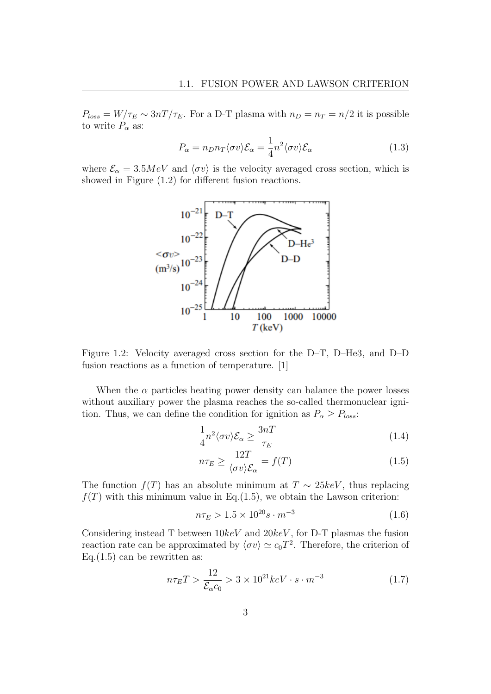$P_{loss} = W/\tau_E \sim 3nT/\tau_E$ . For a D-T plasma with  $n_D = n_T = n/2$  it is possible to write  $P_{\alpha}$  as:

$$
P_{\alpha} = n_D n_T \langle \sigma v \rangle \mathcal{E}_{\alpha} = \frac{1}{4} n^2 \langle \sigma v \rangle \mathcal{E}_{\alpha}
$$
 (1.3)

where  $\mathcal{E}_{\alpha} = 3.5MeV$  and  $\langle \sigma v \rangle$  is the velocity averaged cross section, which is showed in Figure (1.2) for different fusion reactions.



Figure 1.2: Velocity averaged cross section for the D–T, D–He3, and D–D fusion reactions as a function of temperature. [1]

When the  $\alpha$  particles heating power density can balance the power losses without auxiliary power the plasma reaches the so-called thermonuclear ignition. Thus, we can define the condition for ignition as  $P_{\alpha} \ge P_{loss}$ :

$$
\frac{1}{4}n^2 \langle \sigma v \rangle \mathcal{E}_\alpha \ge \frac{3n}{\tau_E} \tag{1.4}
$$

$$
n\tau_E \ge \frac{12T}{\langle \sigma v \rangle \mathcal{E}_\alpha} = f(T) \tag{1.5}
$$

The function  $f(T)$  has an absolute minimum at  $T \sim 25 \text{keV}$ , thus replacing  $f(T)$  with this minimum value in Eq.(1.5), we obtain the Lawson criterion:

$$
n\tau_E > 1.5 \times 10^{20} s \cdot m^{-3} \tag{1.6}
$$

Considering instead T between  $10keV$  and  $20keV$ , for D-T plasmas the fusion reaction rate can be approximated by  $\langle \sigma v \rangle \simeq c_0 T^2$ . Therefore, the criterion of Eq. $(1.5)$  can be rewritten as:

$$
n\tau_E T > \frac{12}{\mathcal{E}_{\alpha} c_0} > 3 \times 10^{21} keV \cdot s \cdot m^{-3}
$$
 (1.7)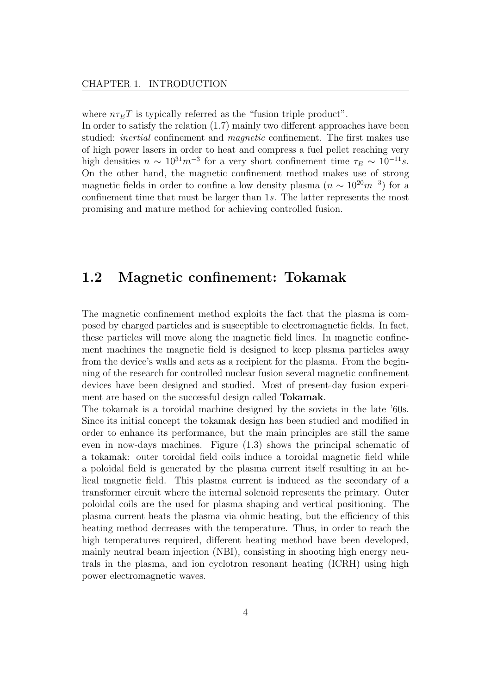where  $n\tau_{E}T$  is typically referred as the "fusion triple product".

In order to satisfy the relation (1.7) mainly two different approaches have been studied: inertial confinement and magnetic confinement. The first makes use of high power lasers in order to heat and compress a fuel pellet reaching very high densities  $n \sim 10^{31} m^{-3}$  for a very short confinement time  $\tau_E \sim 10^{-11} s$ . On the other hand, the magnetic confinement method makes use of strong magnetic fields in order to confine a low density plasma  $(n \sim 10^{20} m^{-3})$  for a confinement time that must be larger than 1s. The latter represents the most promising and mature method for achieving controlled fusion.

### 1.2 Magnetic confinement: Tokamak

The magnetic confinement method exploits the fact that the plasma is composed by charged particles and is susceptible to electromagnetic fields. In fact, these particles will move along the magnetic field lines. In magnetic confinement machines the magnetic field is designed to keep plasma particles away from the device's walls and acts as a recipient for the plasma. From the beginning of the research for controlled nuclear fusion several magnetic confinement devices have been designed and studied. Most of present-day fusion experiment are based on the successful design called Tokamak.

The tokamak is a toroidal machine designed by the soviets in the late '60s. Since its initial concept the tokamak design has been studied and modified in order to enhance its performance, but the main principles are still the same even in now-days machines. Figure (1.3) shows the principal schematic of a tokamak: outer toroidal field coils induce a toroidal magnetic field while a poloidal field is generated by the plasma current itself resulting in an helical magnetic field. This plasma current is induced as the secondary of a transformer circuit where the internal solenoid represents the primary. Outer poloidal coils are the used for plasma shaping and vertical positioning. The plasma current heats the plasma via ohmic heating, but the efficiency of this heating method decreases with the temperature. Thus, in order to reach the high temperatures required, different heating method have been developed, mainly neutral beam injection (NBI), consisting in shooting high energy neutrals in the plasma, and ion cyclotron resonant heating (ICRH) using high power electromagnetic waves.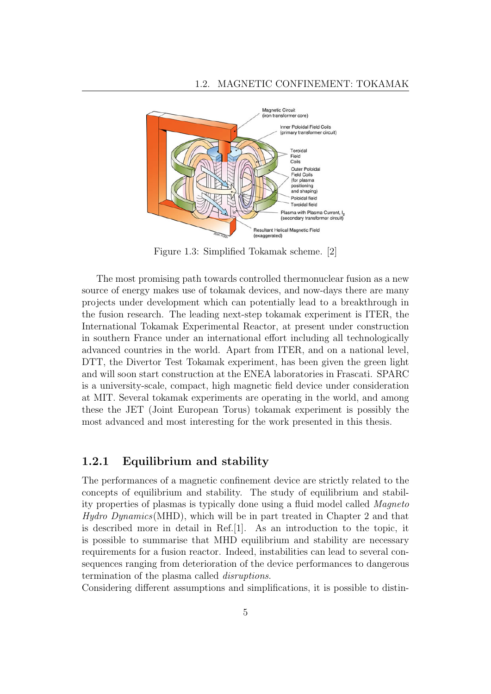

Figure 1.3: Simplified Tokamak scheme. [2]

The most promising path towards controlled thermonuclear fusion as a new source of energy makes use of tokamak devices, and now-days there are many projects under development which can potentially lead to a breakthrough in the fusion research. The leading next-step tokamak experiment is ITER, the International Tokamak Experimental Reactor, at present under construction in southern France under an international effort including all technologically advanced countries in the world. Apart from ITER, and on a national level, DTT, the Divertor Test Tokamak experiment, has been given the green light and will soon start construction at the ENEA laboratories in Frascati. SPARC is a university-scale, compact, high magnetic field device under consideration at MIT. Several tokamak experiments are operating in the world, and among these the JET (Joint European Torus) tokamak experiment is possibly the most advanced and most interesting for the work presented in this thesis.

#### 1.2.1 Equilibrium and stability

The performances of a magnetic confinement device are strictly related to the concepts of equilibrium and stability. The study of equilibrium and stability properties of plasmas is typically done using a fluid model called Magneto Hydro Dynamics(MHD), which will be in part treated in Chapter 2 and that is described more in detail in Ref.[1]. As an introduction to the topic, it is possible to summarise that MHD equilibrium and stability are necessary requirements for a fusion reactor. Indeed, instabilities can lead to several consequences ranging from deterioration of the device performances to dangerous termination of the plasma called disruptions.

Considering different assumptions and simplifications, it is possible to distin-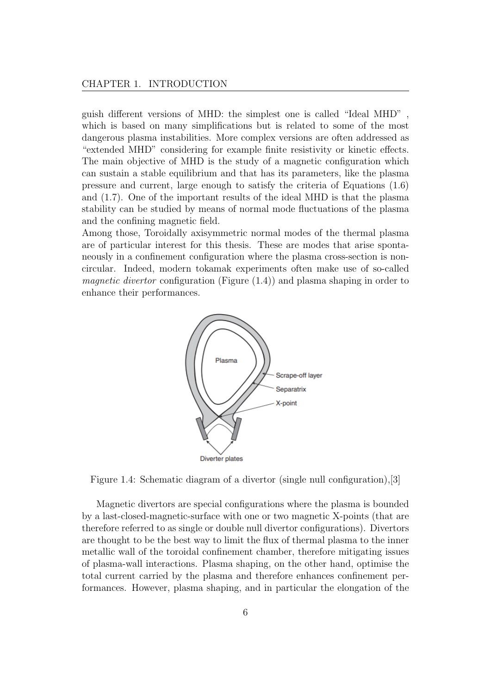guish different versions of MHD: the simplest one is called "Ideal MHD" , which is based on many simplifications but is related to some of the most dangerous plasma instabilities. More complex versions are often addressed as "extended MHD" considering for example finite resistivity or kinetic effects. The main objective of MHD is the study of a magnetic configuration which can sustain a stable equilibrium and that has its parameters, like the plasma pressure and current, large enough to satisfy the criteria of Equations (1.6) and (1.7). One of the important results of the ideal MHD is that the plasma stability can be studied by means of normal mode fluctuations of the plasma and the confining magnetic field.

Among those, Toroidally axisymmetric normal modes of the thermal plasma are of particular interest for this thesis. These are modes that arise spontaneously in a confinement configuration where the plasma cross-section is noncircular. Indeed, modern tokamak experiments often make use of so-called magnetic divertor configuration (Figure (1.4)) and plasma shaping in order to enhance their performances.



Figure 1.4: Schematic diagram of a divertor (single null configuration),[3]

Magnetic divertors are special configurations where the plasma is bounded by a last-closed-magnetic-surface with one or two magnetic X-points (that are therefore referred to as single or double null divertor configurations). Divertors are thought to be the best way to limit the flux of thermal plasma to the inner metallic wall of the toroidal confinement chamber, therefore mitigating issues of plasma-wall interactions. Plasma shaping, on the other hand, optimise the total current carried by the plasma and therefore enhances confinement performances. However, plasma shaping, and in particular the elongation of the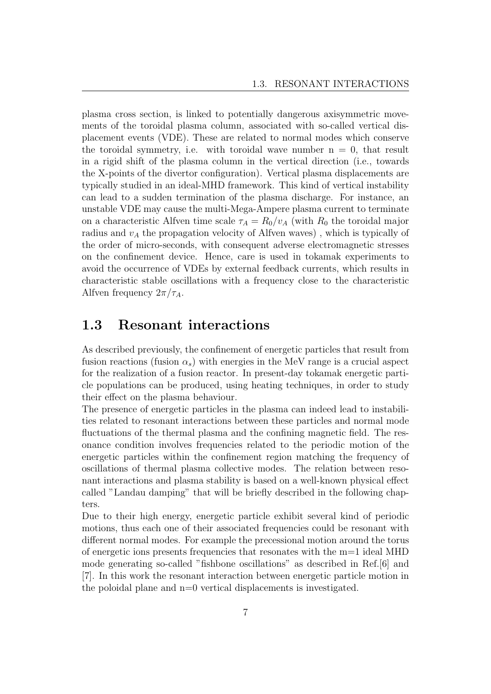plasma cross section, is linked to potentially dangerous axisymmetric movements of the toroidal plasma column, associated with so-called vertical displacement events (VDE). These are related to normal modes which conserve the toroidal symmetry, i.e. with toroidal wave number  $n = 0$ , that result in a rigid shift of the plasma column in the vertical direction (i.e., towards the X-points of the divertor configuration). Vertical plasma displacements are typically studied in an ideal-MHD framework. This kind of vertical instability can lead to a sudden termination of the plasma discharge. For instance, an unstable VDE may cause the multi-Mega-Ampere plasma current to terminate on a characteristic Alfven time scale  $\tau_A = R_0/v_A$  (with  $R_0$  the toroidal major radius and  $v_A$  the propagation velocity of Alfven waves), which is typically of the order of micro-seconds, with consequent adverse electromagnetic stresses on the confinement device. Hence, care is used in tokamak experiments to avoid the occurrence of VDEs by external feedback currents, which results in characteristic stable oscillations with a frequency close to the characteristic Alfven frequency  $2\pi/\tau_A$ .

## 1.3 Resonant interactions

As described previously, the confinement of energetic particles that result from fusion reactions (fusion  $\alpha_s$ ) with energies in the MeV range is a crucial aspect for the realization of a fusion reactor. In present-day tokamak energetic particle populations can be produced, using heating techniques, in order to study their effect on the plasma behaviour.

The presence of energetic particles in the plasma can indeed lead to instabilities related to resonant interactions between these particles and normal mode fluctuations of the thermal plasma and the confining magnetic field. The resonance condition involves frequencies related to the periodic motion of the energetic particles within the confinement region matching the frequency of oscillations of thermal plasma collective modes. The relation between resonant interactions and plasma stability is based on a well-known physical effect called "Landau damping" that will be briefly described in the following chapters.

Due to their high energy, energetic particle exhibit several kind of periodic motions, thus each one of their associated frequencies could be resonant with different normal modes. For example the precessional motion around the torus of energetic ions presents frequencies that resonates with the m=1 ideal MHD mode generating so-called "fishbone oscillations" as described in Ref.[6] and [7]. In this work the resonant interaction between energetic particle motion in the poloidal plane and n=0 vertical displacements is investigated.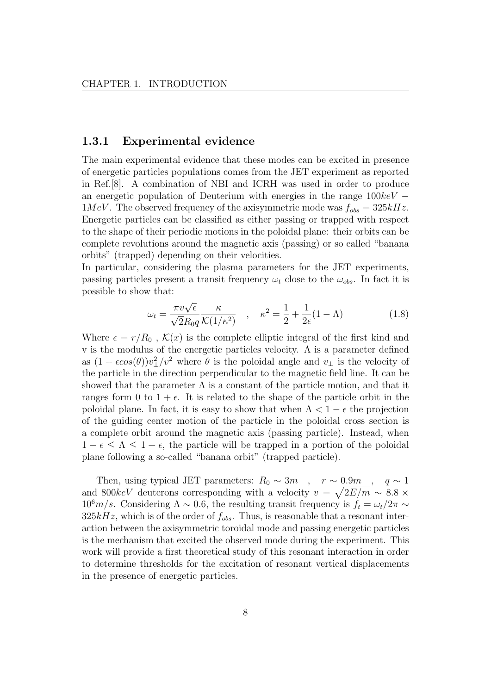#### 1.3.1 Experimental evidence

The main experimental evidence that these modes can be excited in presence of energetic particles populations comes from the JET experiment as reported in Ref.[8]. A combination of NBI and ICRH was used in order to produce an energetic population of Deuterium with energies in the range  $100keV 1MeV$ . The observed frequency of the axisymmetric mode was  $f_{obs} = 325kHz$ . Energetic particles can be classified as either passing or trapped with respect to the shape of their periodic motions in the poloidal plane: their orbits can be complete revolutions around the magnetic axis (passing) or so called "banana orbits" (trapped) depending on their velocities.

In particular, considering the plasma parameters for the JET experiments, passing particles present a transit frequency  $\omega_t$  close to the  $\omega_{obs}$ . In fact it is possible to show that:

$$
\omega_t = \frac{\pi v \sqrt{\epsilon}}{\sqrt{2}R_0 q} \frac{\kappa}{\mathcal{K}(1/\kappa^2)}, \quad \kappa^2 = \frac{1}{2} + \frac{1}{2\epsilon}(1-\Lambda) \tag{1.8}
$$

Where  $\epsilon = r/R_0$ ,  $\mathcal{K}(x)$  is the complete elliptic integral of the first kind and v is the modulus of the energetic particles velocity.  $\Lambda$  is a parameter defined as  $(1 + \epsilon \cos(\theta))v_{\perp}^2/v^2$  where  $\theta$  is the poloidal angle and  $v_{\perp}$  is the velocity of the particle in the direction perpendicular to the magnetic field line. It can be showed that the parameter  $\Lambda$  is a constant of the particle motion, and that it ranges form 0 to  $1 + \epsilon$ . It is related to the shape of the particle orbit in the poloidal plane. In fact, it is easy to show that when  $\Lambda < 1 - \epsilon$  the projection of the guiding center motion of the particle in the poloidal cross section is a complete orbit around the magnetic axis (passing particle). Instead, when  $1 - \epsilon \leq \Lambda \leq 1 + \epsilon$ , the particle will be trapped in a portion of the poloidal plane following a so-called "banana orbit" (trapped particle).

Then, using typical JET parameters:  $R_0 \sim 3m$ ,  $r \sim 0.9m$ ,  $q \sim 1$ and 800keV deuterons corresponding with a velocity  $v = \sqrt{2E/m} \sim 8.8 \times$  $10^6 m/s$ . Considering  $\Lambda \sim 0.6$ , the resulting transit frequency is  $f_t = \omega_t/2\pi \sim$  $325kHz$ , which is of the order of  $f_{obs}$ . Thus, is reasonable that a resonant interaction between the axisymmetric toroidal mode and passing energetic particles is the mechanism that excited the observed mode during the experiment. This work will provide a first theoretical study of this resonant interaction in order to determine thresholds for the excitation of resonant vertical displacements in the presence of energetic particles.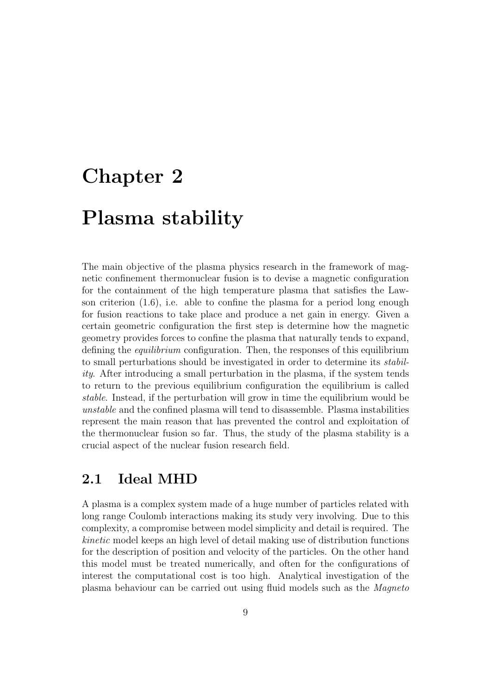# Chapter 2

# Plasma stability

The main objective of the plasma physics research in the framework of magnetic confinement thermonuclear fusion is to devise a magnetic configuration for the containment of the high temperature plasma that satisfies the Lawson criterion  $(1.6)$ , i.e. able to confine the plasma for a period long enough for fusion reactions to take place and produce a net gain in energy. Given a certain geometric configuration the first step is determine how the magnetic geometry provides forces to confine the plasma that naturally tends to expand, defining the equilibrium configuration. Then, the responses of this equilibrium to small perturbations should be investigated in order to determine its stability. After introducing a small perturbation in the plasma, if the system tends to return to the previous equilibrium configuration the equilibrium is called stable. Instead, if the perturbation will grow in time the equilibrium would be unstable and the confined plasma will tend to disassemble. Plasma instabilities represent the main reason that has prevented the control and exploitation of the thermonuclear fusion so far. Thus, the study of the plasma stability is a crucial aspect of the nuclear fusion research field.

## 2.1 Ideal MHD

A plasma is a complex system made of a huge number of particles related with long range Coulomb interactions making its study very involving. Due to this complexity, a compromise between model simplicity and detail is required. The kinetic model keeps an high level of detail making use of distribution functions for the description of position and velocity of the particles. On the other hand this model must be treated numerically, and often for the configurations of interest the computational cost is too high. Analytical investigation of the plasma behaviour can be carried out using fluid models such as the Magneto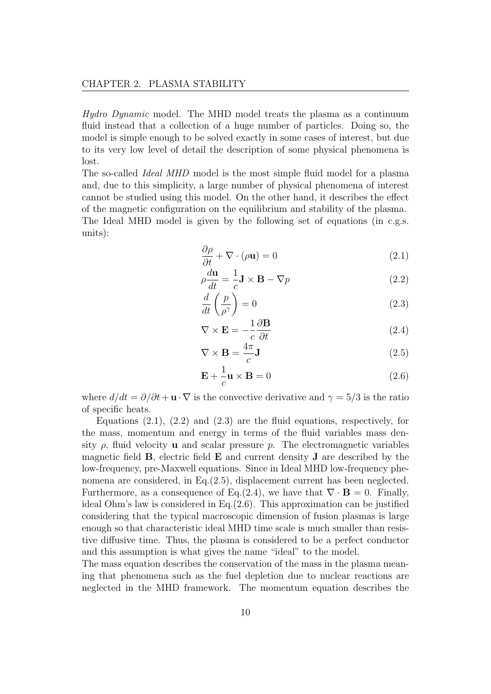Hydro Dynamic model. The MHD model treats the plasma as a continuum fluid instead that a collection of a huge number of particles. Doing so, the model is simple enough to be solved exactly in some cases of interest, but due to its very low level of detail the description of some physical phenomena is lost.

The so-called Ideal MHD model is the most simple fluid model for a plasma and, due to this simplicity, a large number of physical phenomena of interest cannot be studied using this model. On the other hand, it describes the effect of the magnetic configuration on the equilibrium and stability of the plasma. The Ideal MHD model is given by the following set of equations (in c.g.s. units):

$$
\frac{\partial \rho}{\partial t} + \nabla \cdot (\rho \mathbf{u}) = 0 \tag{2.1}
$$

$$
\rho \frac{d\mathbf{u}}{dt} = -\frac{1}{c} \mathbf{J} \times \mathbf{B} - \nabla p \tag{2.2}
$$

$$
\frac{d}{dt}\left(\frac{p}{\rho^{\gamma}}\right) = 0\tag{2.3}
$$

$$
\nabla \times \mathbf{E} = -\frac{1}{c} \frac{\partial \mathbf{B}}{\partial t}
$$
 (2.4)

$$
\nabla \times \mathbf{B} = \frac{4\pi}{c} \mathbf{J}
$$
 (2.5)

$$
\mathbf{E} + \frac{1}{c}\mathbf{u} \times \mathbf{B} = 0 \tag{2.6}
$$

where  $d/dt = \partial/\partial t + \mathbf{u} \cdot \nabla$  is the convective derivative and  $\gamma = 5/3$  is the ratio of specific heats.

Equations  $(2.1)$ ,  $(2.2)$  and  $(2.3)$  are the fluid equations, respectively, for the mass, momentum and energy in terms of the fluid variables mass density  $\rho$ , fluid velocity **u** and scalar pressure  $p$ . The electromagnetic variables magnetic field B, electric field E and current density J are described by the low-frequency, pre-Maxwell equations. Since in Ideal MHD low-frequency phenomena are considered, in Eq.(2.5), displacement current has been neglected. Furthermore, as a consequence of Eq.(2.4), we have that  $\nabla \cdot \mathbf{B} = 0$ . Finally, ideal Ohm's law is considered in Eq.(2.6). This approximation can be justified considering that the typical macroscopic dimension of fusion plasmas is large enough so that characteristic ideal MHD time scale is much smaller than resistive diffusive time. Thus, the plasma is considered to be a perfect conductor and this assumption is what gives the name "ideal" to the model.

The mass equation describes the conservation of the mass in the plasma meaning that phenomena such as the fuel depletion due to nuclear reactions are neglected in the MHD framework. The momentum equation describes the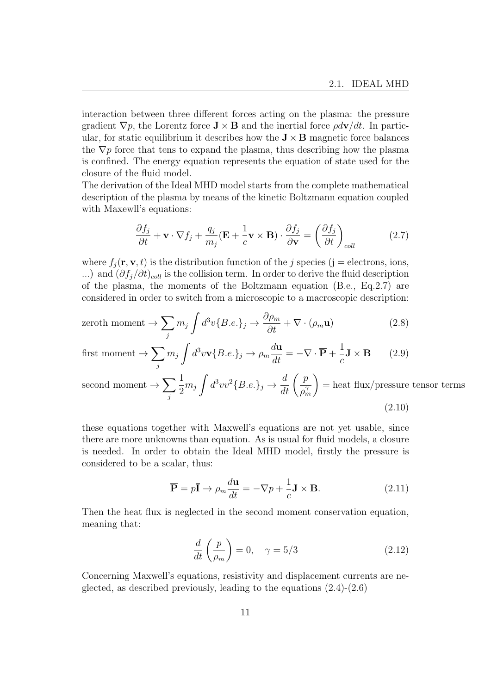interaction between three different forces acting on the plasma: the pressure gradient  $\nabla p$ , the Lorentz force  $\mathbf{J} \times \mathbf{B}$  and the inertial force  $\rho d\mathbf{v}/dt$ . In particular, for static equilibrium it describes how the  $J \times B$  magnetic force balances the  $\nabla p$  force that tens to expand the plasma, thus describing how the plasma is confined. The energy equation represents the equation of state used for the closure of the fluid model.

The derivation of the Ideal MHD model starts from the complete mathematical description of the plasma by means of the kinetic Boltzmann equation coupled with Maxewll's equations:

$$
\frac{\partial f_j}{\partial t} + \mathbf{v} \cdot \nabla f_j + \frac{q_j}{m_j} (\mathbf{E} + \frac{1}{c} \mathbf{v} \times \mathbf{B}) \cdot \frac{\partial f_j}{\partial \mathbf{v}} = \left(\frac{\partial f_j}{\partial t}\right)_{coll}
$$
(2.7)

where  $f_i(\mathbf{r}, \mathbf{v}, t)$  is the distribution function of the j species (j = electrons, ions, ...) and  $(\partial f_i/\partial t)_{coll}$  is the collision term. In order to derive the fluid description of the plasma, the moments of the Boltzmann equation (B.e., Eq.2.7) are considered in order to switch from a microscopic to a macroscopic description:

$$
\text{zeroth moment} \to \sum_{j} m_{j} \int d^{3}v \{B.e.\}_{j} \to \frac{\partial \rho_{m}}{\partial t} + \nabla \cdot (\rho_{m} \mathbf{u}) \tag{2.8}
$$

first moment 
$$
\rightarrow \sum_{j} m_{j} \int d^{3}v \mathbf{v} \{B.e.\}_{j} \rightarrow \rho_{m} \frac{d\mathbf{u}}{dt} = -\nabla \cdot \overline{\mathbf{P}} + \frac{1}{c} \mathbf{J} \times \mathbf{B}
$$
 (2.9)

second moment  $\rightarrow \sum$ j 1  $\frac{1}{2}m_j\int d^3vv^2\{B.e.\}_j\rightarrow \frac{d}{dt}\left(\frac{p}{\rho_r^2}\right)$  $\overline{\rho_m^\gamma}$  $\setminus$ = heat flux/pressure tensor terms (2.10)

these equations together with Maxwell's equations are not yet usable, since there are more unknowns than equation. As is usual for fluid models, a closure is needed. In order to obtain the Ideal MHD model, firstly the pressure is considered to be a scalar, thus:

$$
\overline{\mathbf{P}} = p\overline{\mathbf{I}} \to \rho_m \frac{d\mathbf{u}}{dt} = -\nabla p + \frac{1}{c} \mathbf{J} \times \mathbf{B}.
$$
 (2.11)

Then the heat flux is neglected in the second moment conservation equation, meaning that:

$$
\frac{d}{dt}\left(\frac{p}{\rho_m}\right) = 0, \quad \gamma = 5/3 \tag{2.12}
$$

Concerning Maxwell's equations, resistivity and displacement currents are neglected, as described previously, leading to the equations (2.4)-(2.6)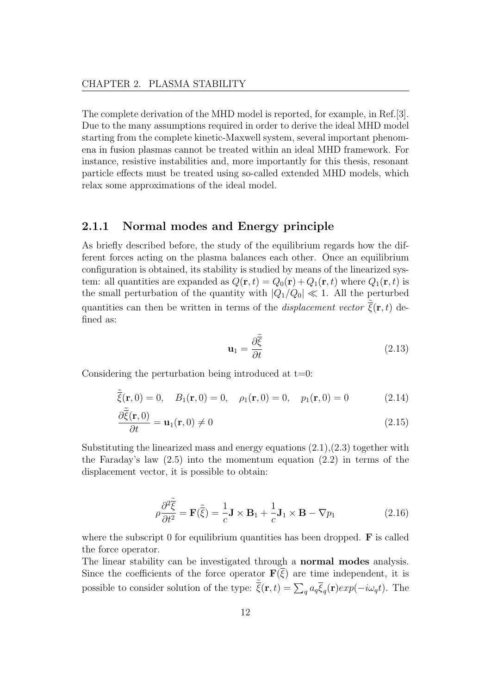The complete derivation of the MHD model is reported, for example, in Ref.[3]. Due to the many assumptions required in order to derive the ideal MHD model starting from the complete kinetic-Maxwell system, several important phenomena in fusion plasmas cannot be treated within an ideal MHD framework. For instance, resistive instabilities and, more importantly for this thesis, resonant particle effects must be treated using so-called extended MHD models, which relax some approximations of the ideal model.

#### 2.1.1 Normal modes and Energy principle

As briefly described before, the study of the equilibrium regards how the different forces acting on the plasma balances each other. Once an equilibrium configuration is obtained, its stability is studied by means of the linearized system: all quantities are expanded as  $Q(\mathbf{r}, t) = Q_0(\mathbf{r}) + Q_1(\mathbf{r}, t)$  where  $Q_1(\mathbf{r}, t)$  is the small perturbation of the quantity with  $|Q_1/Q_0| \ll 1$ . All the perturbed quantities can then be written in terms of the *displacement vector*  $\tilde{\bar{\xi}}(\mathbf{r},t)$  defined as:

$$
\mathbf{u}_1 = \frac{\partial \tilde{\xi}}{\partial t} \tag{2.13}
$$

Considering the perturbation being introduced at  $t=0$ :

$$
\tilde{\bar{\xi}}(\mathbf{r},0) = 0, \quad B_1(\mathbf{r},0) = 0, \quad \rho_1(\mathbf{r},0) = 0, \quad p_1(\mathbf{r},0) = 0 \tag{2.14}
$$

$$
\frac{\partial \tilde{\tilde{\xi}}(\mathbf{r},0)}{\partial t} = \mathbf{u}_1(\mathbf{r},0) \neq 0
$$
\n(2.15)

Substituting the linearized mass and energy equations  $(2.1),(2.3)$  together with the Faraday's law (2.5) into the momentum equation (2.2) in terms of the displacement vector, it is possible to obtain:

$$
\rho \frac{\partial^2 \tilde{\xi}}{\partial t^2} = \mathbf{F}(\tilde{\xi}) = -\frac{1}{c} \mathbf{J} \times \mathbf{B}_1 + \frac{1}{c} \mathbf{J}_1 \times \mathbf{B} - \nabla p_1 \tag{2.16}
$$

where the subscript  $\theta$  for equilibrium quantities has been dropped. **F** is called the force operator.

The linear stability can be investigated through a normal modes analysis. Since the coefficients of the force operator  $\mathbf{F}(\overline{\xi})$  are time independent, it is possible to consider solution of the type:  $\tilde{\xi}(\mathbf{r}, t) = \sum_q a_q \overline{\xi}_q(\mathbf{r}) exp(-i\omega_q t)$ . The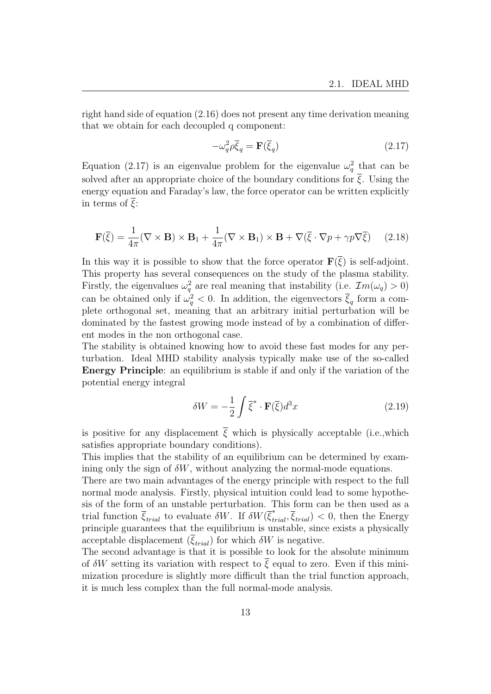right hand side of equation (2.16) does not present any time derivation meaning that we obtain for each decoupled q component:

$$
-\omega_q^2 \rho \overline{\xi}_q = \mathbf{F}(\overline{\xi}_q) \tag{2.17}
$$

Equation (2.17) is an eigenvalue problem for the eigenvalue  $\omega_q^2$  that can be solved after an appropriate choice of the boundary conditions for  $\overline{\xi}$ . Using the energy equation and Faraday's law, the force operator can be written explicitly in terms of  $\overline{\xi}$ :

$$
\mathbf{F}(\overline{\xi}) = \frac{1}{4\pi} (\nabla \times \mathbf{B}) \times \mathbf{B}_1 + \frac{1}{4\pi} (\nabla \times \mathbf{B}_1) \times \mathbf{B} + \nabla (\overline{\xi} \cdot \nabla p + \gamma p \nabla \overline{\xi}) \tag{2.18}
$$

In this way it is possible to show that the force operator  $\mathbf{F}(\xi)$  is self-adjoint. This property has several consequences on the study of the plasma stability. Firstly, the eigenvalues  $\omega_q^2$  are real meaning that instability (i.e.  $\mathcal{I}m(\omega_q) > 0$ ) can be obtained only if  $\omega_q^2 < 0$ . In addition, the eigenvectors  $\bar{\xi}_q$  form a complete orthogonal set, meaning that an arbitrary initial perturbation will be dominated by the fastest growing mode instead of by a combination of different modes in the non orthogonal case.

The stability is obtained knowing how to avoid these fast modes for any perturbation. Ideal MHD stability analysis typically make use of the so-called Energy Principle: an equilibrium is stable if and only if the variation of the potential energy integral

$$
\delta W = -\frac{1}{2} \int \overline{\xi}^* \cdot \mathbf{F}(\overline{\xi}) d^3 x \tag{2.19}
$$

is positive for any displacement  $\overline{\xi}$  which is physically acceptable (i.e.,which satisfies appropriate boundary conditions).

This implies that the stability of an equilibrium can be determined by examining only the sign of  $\delta W$ , without analyzing the normal-mode equations.

There are two main advantages of the energy principle with respect to the full normal mode analysis. Firstly, physical intuition could lead to some hypothesis of the form of an unstable perturbation. This form can be then used as a trial function  $\overline{\xi}_{trial}$  to evaluate  $\delta W$ . If  $\delta W(\overline{\xi}_{trial}^*, \overline{\xi}_{trial}) < 0$ , then the Energy principle guarantees that the equilibrium is unstable, since exists a physically acceptable displacement  $(\bar{\xi}_{trial})$  for which  $\delta W$  is negative.

The second advantage is that it is possible to look for the absolute minimum of  $\delta W$  setting its variation with respect to  $\bar{\xi}$  equal to zero. Even if this minimization procedure is slightly more difficult than the trial function approach, it is much less complex than the full normal-mode analysis.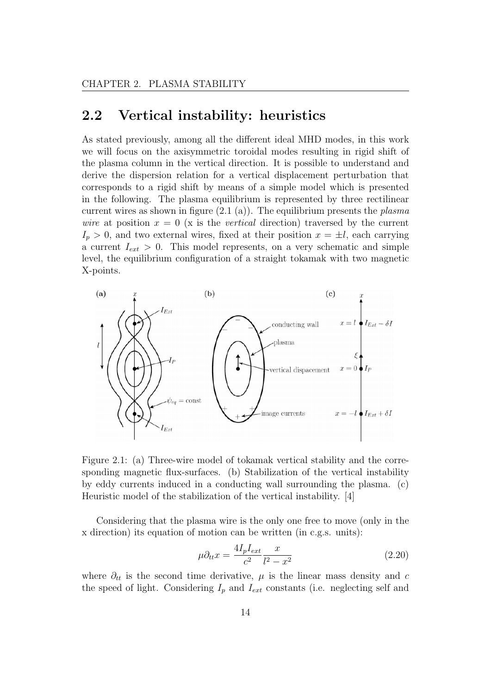## 2.2 Vertical instability: heuristics

As stated previously, among all the different ideal MHD modes, in this work we will focus on the axisymmetric toroidal modes resulting in rigid shift of the plasma column in the vertical direction. It is possible to understand and derive the dispersion relation for a vertical displacement perturbation that corresponds to a rigid shift by means of a simple model which is presented in the following. The plasma equilibrium is represented by three rectilinear current wires as shown in figure  $(2.1 \text{ (a)})$ . The equilibrium presents the *plasma* wire at position  $x = 0$  (x is the vertical direction) traversed by the current  $I_p > 0$ , and two external wires, fixed at their position  $x = \pm l$ , each carrying a current  $I_{ext} > 0$ . This model represents, on a very schematic and simple level, the equilibrium configuration of a straight tokamak with two magnetic X-points.



Figure 2.1: (a) Three-wire model of tokamak vertical stability and the corresponding magnetic flux-surfaces. (b) Stabilization of the vertical instability by eddy currents induced in a conducting wall surrounding the plasma. (c) Heuristic model of the stabilization of the vertical instability. [4]

Considering that the plasma wire is the only one free to move (only in the x direction) its equation of motion can be written (in c.g.s. units):

$$
\mu \partial_{tt} x = \frac{4I_p I_{ext}}{c^2} \frac{x}{l^2 - x^2} \tag{2.20}
$$

where  $\partial_{tt}$  is the second time derivative,  $\mu$  is the linear mass density and c the speed of light. Considering  $I_p$  and  $I_{ext}$  constants (i.e. neglecting self and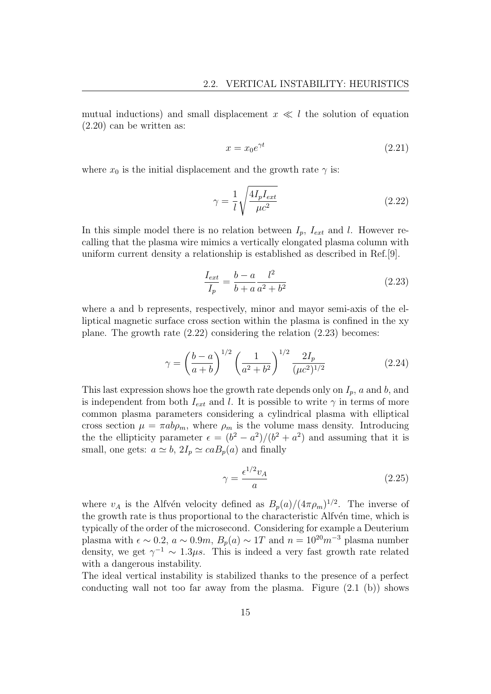mutual inductions) and small displacement  $x \ll l$  the solution of equation (2.20) can be written as:

$$
x = x_0 e^{\gamma t} \tag{2.21}
$$

where  $x_0$  is the initial displacement and the growth rate  $\gamma$  is:

$$
\gamma = \frac{1}{l} \sqrt{\frac{4I_p I_{ext}}{\mu c^2}} \tag{2.22}
$$

In this simple model there is no relation between  $I_p$ ,  $I_{ext}$  and l. However recalling that the plasma wire mimics a vertically elongated plasma column with uniform current density a relationship is established as described in Ref.[9].

$$
\frac{I_{ext}}{I_p} = \frac{b - a}{b + a} \frac{l^2}{a^2 + b^2}
$$
 (2.23)

where a and b represents, respectively, minor and mayor semi-axis of the elliptical magnetic surface cross section within the plasma is confined in the xy plane. The growth rate (2.22) considering the relation (2.23) becomes:

$$
\gamma = \left(\frac{b-a}{a+b}\right)^{1/2} \left(\frac{1}{a^2+b^2}\right)^{1/2} \frac{2I_p}{(\mu c^2)^{1/2}}\tag{2.24}
$$

This last expression shows hoe the growth rate depends only on  $I_p$ , a and b, and is independent from both  $I_{ext}$  and l. It is possible to write  $\gamma$  in terms of more common plasma parameters considering a cylindrical plasma with elliptical cross section  $\mu = \pi ab \rho_m$ , where  $\rho_m$  is the volume mass density. Introducing the the ellipticity parameter  $\epsilon = (b^2 - a^2)/(b^2 + a^2)$  and assuming that it is small, one gets:  $a \simeq b$ ,  $2I_p \simeq caB_p(a)$  and finally

$$
\gamma = \frac{\epsilon^{1/2} v_A}{a} \tag{2.25}
$$

where  $v_A$  is the Alfvén velocity defined as  $B_p(a)/(4\pi\rho_m)^{1/2}$ . The inverse of the growth rate is thus proportional to the characteristic Alfvén time, which is typically of the order of the microsecond. Considering for example a Deuterium plasma with  $\epsilon \sim 0.2$ ,  $a \sim 0.9m$ ,  $B_n(a) \sim 1T$  and  $n = 10^{20}m^{-3}$  plasma number density, we get  $\gamma^{-1} \sim 1.3 \mu s$ . This is indeed a very fast growth rate related with a dangerous instability.

The ideal vertical instability is stabilized thanks to the presence of a perfect conducting wall not too far away from the plasma. Figure (2.1 (b)) shows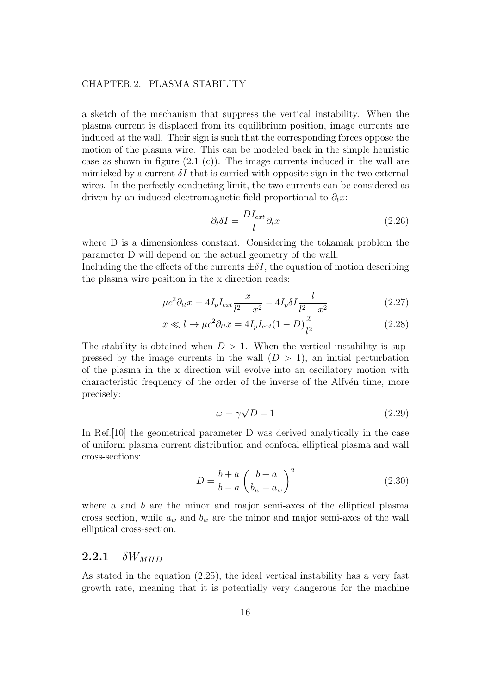a sketch of the mechanism that suppress the vertical instability. When the plasma current is displaced from its equilibrium position, image currents are induced at the wall. Their sign is such that the corresponding forces oppose the motion of the plasma wire. This can be modeled back in the simple heuristic case as shown in figure  $(2.1 \text{ (c)})$ . The image currents induced in the wall are mimicked by a current  $\delta I$  that is carried with opposite sign in the two external wires. In the perfectly conducting limit, the two currents can be considered as driven by an induced electromagnetic field proportional to  $\partial_t x$ :

$$
\partial_t \delta I = \frac{DI_{ext}}{l} \partial_t x \tag{2.26}
$$

where D is a dimensionless constant. Considering the tokamak problem the parameter D will depend on the actual geometry of the wall.

Including the the effects of the currents  $\pm \delta I$ , the equation of motion describing the plasma wire position in the x direction reads:

$$
\mu c^2 \partial_{tt} x = 4I_p I_{ext} \frac{x}{l^2 - x^2} - 4I_p \delta I \frac{l}{l^2 - x^2}
$$
 (2.27)

$$
x \ll l \to \mu c^2 \partial_{tt} x = 4I_p I_{ext} (1 - D) \frac{x}{l^2}
$$
 (2.28)

The stability is obtained when  $D > 1$ . When the vertical instability is suppressed by the image currents in the wall  $(D > 1)$ , an initial perturbation of the plasma in the x direction will evolve into an oscillatory motion with characteristic frequency of the order of the inverse of the Alfvén time, more precisely:

$$
\omega = \gamma \sqrt{D - 1} \tag{2.29}
$$

In Ref.[10] the geometrical parameter D was derived analytically in the case of uniform plasma current distribution and confocal elliptical plasma and wall cross-sections:

$$
D = \frac{b+a}{b-a} \left(\frac{b+a}{b_w+a_w}\right)^2
$$
 (2.30)

where  $a$  and  $b$  are the minor and major semi-axes of the elliptical plasma cross section, while  $a_w$  and  $b_w$  are the minor and major semi-axes of the wall elliptical cross-section.

#### 2.2.1  $\delta W_{MHD}$

As stated in the equation (2.25), the ideal vertical instability has a very fast growth rate, meaning that it is potentially very dangerous for the machine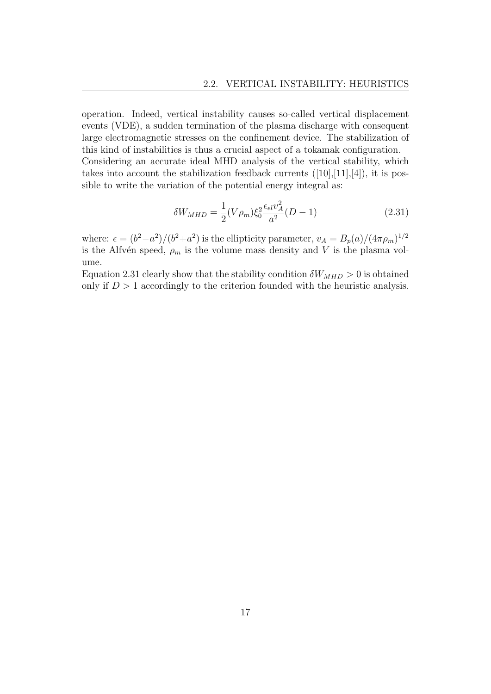operation. Indeed, vertical instability causes so-called vertical displacement events (VDE), a sudden termination of the plasma discharge with consequent large electromagnetic stresses on the confinement device. The stabilization of this kind of instabilities is thus a crucial aspect of a tokamak configuration. Considering an accurate ideal MHD analysis of the vertical stability, which takes into account the stabilization feedback currents  $([10],[11],[4])$ , it is possible to write the variation of the potential energy integral as:

$$
\delta W_{MHD} = \frac{1}{2} (V \rho_m) \xi_0^2 \frac{\epsilon_{el} v_A^2}{a^2} (D - 1)
$$
 (2.31)

where:  $\epsilon = (b^2 - a^2)/(b^2 + a^2)$  is the ellipticity parameter,  $v_A = B_p(a)/(4\pi\rho_m)^{1/2}$ is the Alfvén speed,  $\rho_m$  is the volume mass density and V is the plasma volume.

Equation 2.31 clearly show that the stability condition  $\delta W_{MHD} > 0$  is obtained only if  $D > 1$  accordingly to the criterion founded with the heuristic analysis.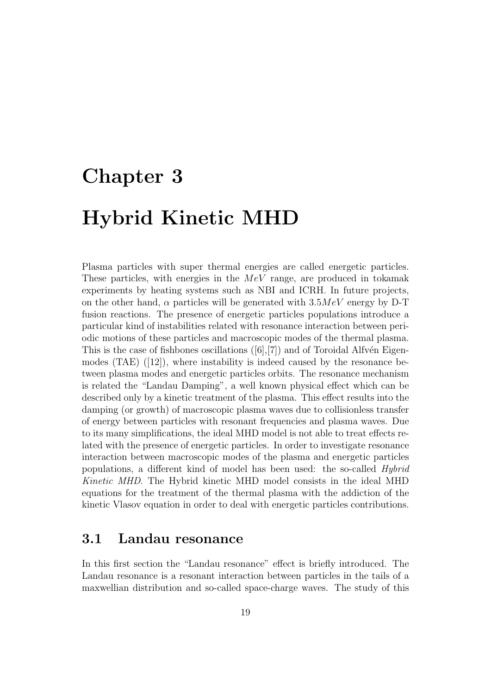# Chapter 3

# Hybrid Kinetic MHD

Plasma particles with super thermal energies are called energetic particles. These particles, with energies in the  $MeV$  range, are produced in tokamak experiments by heating systems such as NBI and ICRH. In future projects, on the other hand,  $\alpha$  particles will be generated with  $3.5MeV$  energy by D-T fusion reactions. The presence of energetic particles populations introduce a particular kind of instabilities related with resonance interaction between periodic motions of these particles and macroscopic modes of the thermal plasma. This is the case of fishbones oscillations  $([6],[7])$  and of Toroidal Alfvén Eigenmodes (TAE) ([12]), where instability is indeed caused by the resonance between plasma modes and energetic particles orbits. The resonance mechanism is related the "Landau Damping", a well known physical effect which can be described only by a kinetic treatment of the plasma. This effect results into the damping (or growth) of macroscopic plasma waves due to collisionless transfer of energy between particles with resonant frequencies and plasma waves. Due to its many simplifications, the ideal MHD model is not able to treat effects related with the presence of energetic particles. In order to investigate resonance interaction between macroscopic modes of the plasma and energetic particles populations, a different kind of model has been used: the so-called Hybrid Kinetic MHD. The Hybrid kinetic MHD model consists in the ideal MHD equations for the treatment of the thermal plasma with the addiction of the kinetic Vlasov equation in order to deal with energetic particles contributions.

### 3.1 Landau resonance

In this first section the "Landau resonance" effect is briefly introduced. The Landau resonance is a resonant interaction between particles in the tails of a maxwellian distribution and so-called space-charge waves. The study of this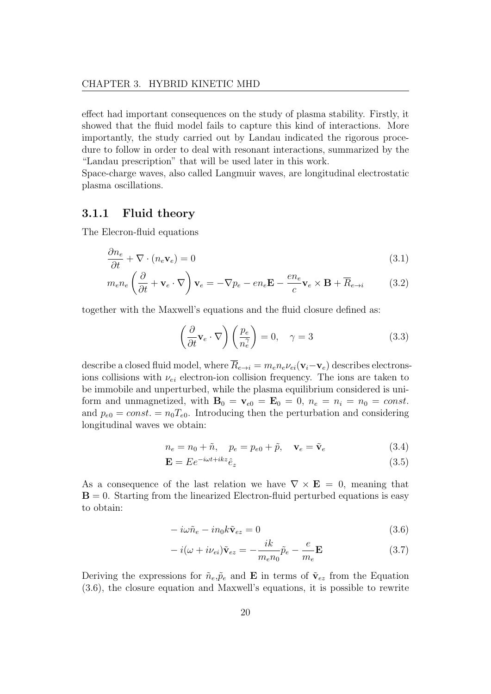effect had important consequences on the study of plasma stability. Firstly, it showed that the fluid model fails to capture this kind of interactions. More importantly, the study carried out by Landau indicated the rigorous procedure to follow in order to deal with resonant interactions, summarized by the "Landau prescription" that will be used later in this work.

Space-charge waves, also called Langmuir waves, are longitudinal electrostatic plasma oscillations.

#### 3.1.1 Fluid theory

The Elecron-fluid equations

$$
\frac{\partial n_e}{\partial t} + \nabla \cdot (n_e \mathbf{v}_e) = 0 \tag{3.1}
$$

$$
m_e n_e \left(\frac{\partial}{\partial t} + \mathbf{v}_e \cdot \nabla\right) \mathbf{v}_e = -\nabla p_e - en_e \mathbf{E} - \frac{en_e}{c} \mathbf{v}_e \times \mathbf{B} + \overline{R}_{e \to i}
$$
 (3.2)

together with the Maxwell's equations and the fluid closure defined as:

$$
\left(\frac{\partial}{\partial t}\mathbf{v}_e \cdot \nabla\right)\left(\frac{p_e}{n_e^{\gamma}}\right) = 0, \quad \gamma = 3
$$
\n(3.3)

describe a closed fluid model, where  $\overline{R}_{e\to i} = m_e n_e \nu_{ei}(\mathbf{v}_i-\mathbf{v}_e)$  describes electronsions collisions with  $\nu_{ei}$  electron-ion collision frequency. The ions are taken to be immobile and unperturbed, while the plasma equilibrium considered is uniform and unmagnetized, with  $\mathbf{B}_0 = \mathbf{v}_{e0} = \mathbf{E}_0 = 0$ ,  $n_e = n_i = n_0 = const$ . and  $p_{e0} = const. = n_0T_{e0}$ . Introducing then the perturbation and considering longitudinal waves we obtain:

$$
n_e = n_0 + \tilde{n}, \quad p_e = p_{e0} + \tilde{p}, \quad \mathbf{v}_e = \tilde{\mathbf{v}}_e \tag{3.4}
$$

$$
\mathbf{E} = E e^{-i\omega t + ikz} \hat{e}_z \tag{3.5}
$$

As a consequence of the last relation we have  $\nabla \times \mathbf{E} = 0$ , meaning that  $B = 0$ . Starting from the linearized Electron-fluid perturbed equations is easy to obtain:

$$
-i\omega\tilde{n}_e - in_0k\tilde{\mathbf{v}}_{ez} = 0\tag{3.6}
$$

$$
-i(\omega + i\nu_{ei})\tilde{\mathbf{v}}_{ez} = -\frac{ik}{m_e n_0}\tilde{p}_e - \frac{e}{m_e}\mathbf{E}
$$
 (3.7)

Deriving the expressions for  $\tilde{n}_e, \tilde{p}_e$  and **E** in terms of  $\tilde{\mathbf{v}}_{ez}$  from the Equation (3.6), the closure equation and Maxwell's equations, it is possible to rewrite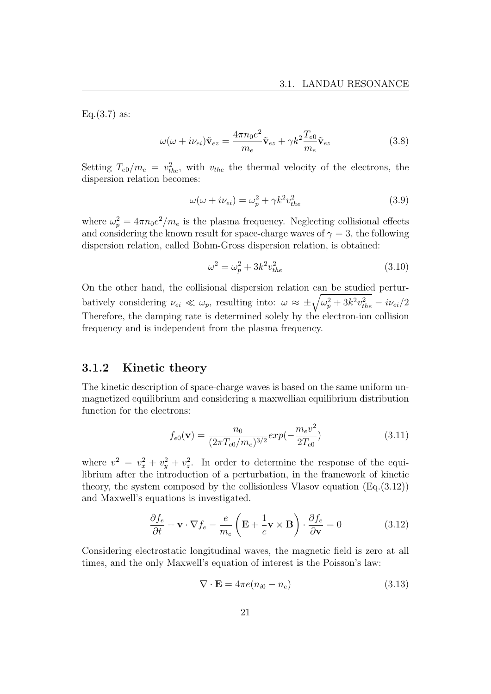$Eq.(3.7)$  as:

$$
\omega(\omega + i\nu_{ei})\tilde{\mathbf{v}}_{ez} = \frac{4\pi n_0 e^2}{m_e}\tilde{\mathbf{v}}_{ez} + \gamma k^2 \frac{T_{e0}}{m_e}\tilde{\mathbf{v}}_{ez}
$$
(3.8)

Setting  $T_{e0}/m_e = v_{the}^2$ , with  $v_{the}$  the thermal velocity of the electrons, the dispersion relation becomes:

$$
\omega(\omega + i\nu_{ei}) = \omega_p^2 + \gamma k^2 v_{the}^2 \tag{3.9}
$$

where  $\omega_p^2 = 4\pi n_0 e^2/m_e$  is the plasma frequency. Neglecting collisional effects and considering the known result for space-charge waves of  $\gamma = 3$ , the following dispersion relation, called Bohm-Gross dispersion relation, is obtained:

$$
\omega^2 = \omega_p^2 + 3k^2 v_{the}^2 \tag{3.10}
$$

On the other hand, the collisional dispersion relation can be studied perturbatively considering  $\nu_{ei} \ll \omega_p$ , resulting into:  $\omega \approx \pm \sqrt{\omega_p^2 + 3k^2 v_{the}^2} - i\nu_{ei}/2$ Therefore, the damping rate is determined solely by the electron-ion collision frequency and is independent from the plasma frequency.

#### 3.1.2 Kinetic theory

The kinetic description of space-charge waves is based on the same uniform unmagnetized equilibrium and considering a maxwellian equilibrium distribution function for the electrons:

$$
f_{e0}(\mathbf{v}) = \frac{n_0}{(2\pi T_{e0}/m_e)^{3/2}} exp(-\frac{m_e v^2}{2T_{e0}})
$$
(3.11)

where  $v^2 = v_x^2 + v_y^2 + v_z^2$ . In order to determine the response of the equilibrium after the introduction of a perturbation, in the framework of kinetic theory, the system composed by the collisionless Vlasov equation  $(E<sub>q</sub>(3.12))$ and Maxwell's equations is investigated.

$$
\frac{\partial f_e}{\partial t} + \mathbf{v} \cdot \nabla f_e - \frac{e}{m_e} \left( \mathbf{E} + \frac{1}{c} \mathbf{v} \times \mathbf{B} \right) \cdot \frac{\partial f_e}{\partial \mathbf{v}} = 0 \tag{3.12}
$$

Considering electrostatic longitudinal waves, the magnetic field is zero at all times, and the only Maxwell's equation of interest is the Poisson's law:

$$
\nabla \cdot \mathbf{E} = 4\pi e (n_{i0} - n_e) \tag{3.13}
$$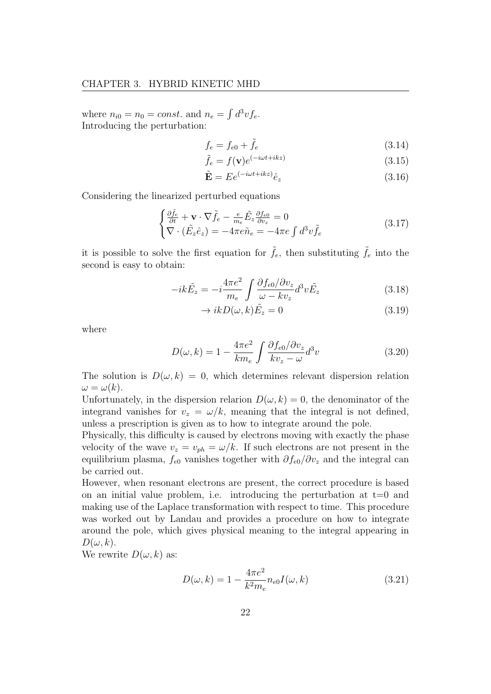where  $n_{i0} = n_0 = const.$  and  $n_e = \int d^3v f_e$ . Introducing the perturbation:

$$
f_e = f_{e0} + \tilde{f}_e \tag{3.14}
$$

$$
\tilde{f}_e = f(\mathbf{v})e^{(-i\omega t + ikz)}\tag{3.15}
$$

$$
\tilde{\mathbf{E}} = E e^{(-i\omega t + ikz)} \hat{e}_z \tag{3.16}
$$

Considering the linearized perturbed equations

$$
\begin{cases} \frac{\partial \tilde{f}_e}{\partial t} + \mathbf{v} \cdot \nabla \tilde{f}_e - \frac{e}{m_e} \tilde{E}_z \frac{\partial f_{e0}}{\partial v_z} = 0\\ \nabla \cdot (\tilde{E}_z \hat{e}_z) = -4\pi e \tilde{n}_e = -4\pi e \int d^3 v \tilde{f}_e \end{cases}
$$
(3.17)

it is possible to solve the first equation for  $\tilde{f}_e$ , then substituting  $\tilde{f}_e$  into the second is easy to obtain:

$$
-ik\tilde{E}_z = -i\frac{4\pi e^2}{m_e} \int \frac{\partial f_{e0}/\partial v_z}{\omega - kv_z} d^3 v \tilde{E}_z \tag{3.18}
$$

$$
\to ikD(\omega, k)\tilde{E}_z = 0\tag{3.19}
$$

where

$$
D(\omega, k) = 1 - \frac{4\pi e^2}{km_e} \int \frac{\partial f_{e0}/\partial v_z}{kv_z - \omega} d^3 v \tag{3.20}
$$

The solution is  $D(\omega, k) = 0$ , which determines relevant dispersion relation  $\omega = \omega(k).$ 

Unfortunately, in the dispersion relarion  $D(\omega, k) = 0$ , the denominator of the integrand vanishes for  $v_z = \omega/k$ , meaning that the integral is not defined, unless a prescription is given as to how to integrate around the pole.

Physically, this difficulty is caused by electrons moving with exactly the phase velocity of the wave  $v_z = v_{ph} = \omega/k$ . If such electrons are not present in the equilibrium plasma,  $f_{e0}$  vanishes together with  $\partial f_{e0}/\partial v_z$  and the integral can be carried out.

However, when resonant electrons are present, the correct procedure is based on an initial value problem, i.e. introducing the perturbation at  $t=0$  and making use of the Laplace transformation with respect to time. This procedure was worked out by Landau and provides a procedure on how to integrate around the pole, which gives physical meaning to the integral appearing in  $D(\omega, k)$ .

We rewrite  $D(\omega, k)$  as:

$$
D(\omega, k) = 1 - \frac{4\pi e^2}{k^2 m_e} n_{e0} I(\omega, k)
$$
 (3.21)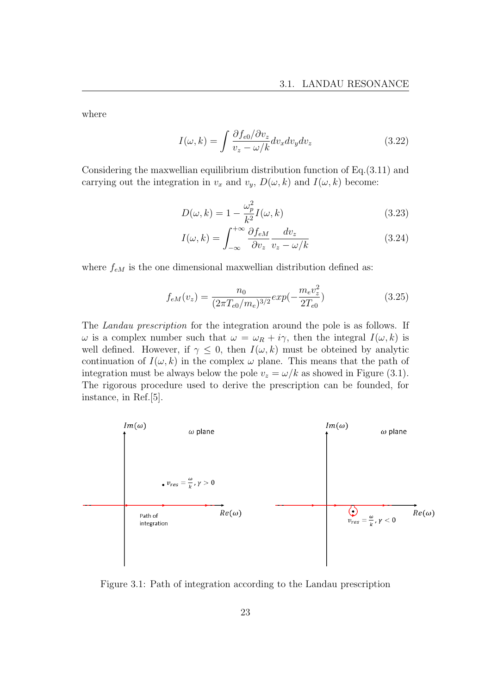where

$$
I(\omega, k) = \int \frac{\partial f_{e0} / \partial v_z}{v_z - \omega / k} dv_x dv_y dv_z \tag{3.22}
$$

Considering the maxwellian equilibrium distribution function of Eq.(3.11) and carrying out the integration in  $v_x$  and  $v_y$ ,  $D(\omega, k)$  and  $I(\omega, k)$  become:

$$
D(\omega, k) = 1 - \frac{\omega_p^2}{k^2} I(\omega, k)
$$
\n(3.23)

$$
I(\omega, k) = \int_{-\infty}^{+\infty} \frac{\partial f_{eM}}{\partial v_z} \frac{dv_z}{v_z - \omega/k}
$$
(3.24)

where  $f_{eM}$  is the one dimensional maxwellian distribution defined as:

$$
f_{eM}(v_z) = \frac{n_0}{(2\pi T_{e0}/m_e)^{3/2}} exp(-\frac{m_e v_z^2}{2T_{e0}})
$$
\n(3.25)

The Landau prescription for the integration around the pole is as follows. If ω is a complex number such that  $ω = ω<sub>R</sub> + iγ$ , then the integral  $I(ω, k)$  is well defined. However, if  $\gamma \leq 0$ , then  $I(\omega, k)$  must be obteined by analytic continuation of  $I(\omega, k)$  in the complex  $\omega$  plane. This means that the path of integration must be always below the pole  $v_z = \omega/k$  as showed in Figure (3.1). The rigorous procedure used to derive the prescription can be founded, for instance, in Ref.[5].



Figure 3.1: Path of integration according to the Landau prescription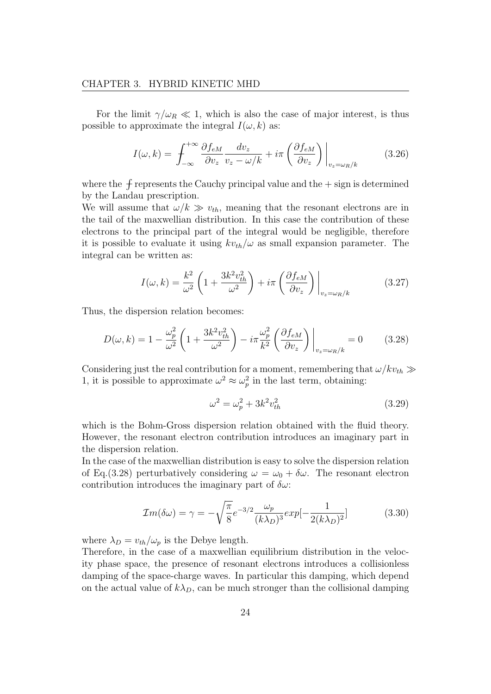For the limit  $\gamma/\omega_R \ll 1$ , which is also the case of major interest, is thus possible to approximate the integral  $I(\omega, k)$  as:

$$
I(\omega, k) = \int_{-\infty}^{+\infty} \frac{\partial f_{eM}}{\partial v_z} \frac{dv_z}{v_z - \omega/k} + i\pi \left(\frac{\partial f_{eM}}{\partial v_z}\right) \Big|_{v_z = \omega_R/k}
$$
(3.26)

where the  $f$  represents the Cauchy principal value and the  $+$  sign is determined by the Landau prescription.

We will assume that  $\omega/k \gg v_{th}$ , meaning that the resonant electrons are in the tail of the maxwellian distribution. In this case the contribution of these electrons to the principal part of the integral would be negligible, therefore it is possible to evaluate it using  $kv_{th}/\omega$  as small expansion parameter. The integral can be written as:

$$
I(\omega, k) = \frac{k^2}{\omega^2} \left( 1 + \frac{3k^2 v_{th}^2}{\omega^2} \right) + i\pi \left( \frac{\partial f_{eM}}{\partial v_z} \right) \Big|_{v_z = \omega_R/k}
$$
(3.27)

Thus, the dispersion relation becomes:

$$
D(\omega, k) = 1 - \frac{\omega_p^2}{\omega^2} \left( 1 + \frac{3k^2 v_{th}^2}{\omega^2} \right) - i\pi \frac{\omega_p^2}{k^2} \left( \frac{\partial f_{eM}}{\partial v_z} \right) \Big|_{v_z = \omega_R/k} = 0 \tag{3.28}
$$

Considering just the real contribution for a moment, remembering that  $\omega / kv_{th} \gg$ 1, it is possible to approximate  $\omega^2 \approx \omega_p^2$  in the last term, obtaining:

$$
\omega^2 = \omega_p^2 + 3k^2 v_{th}^2 \tag{3.29}
$$

which is the Bohm-Gross dispersion relation obtained with the fluid theory. However, the resonant electron contribution introduces an imaginary part in the dispersion relation.

In the case of the maxwellian distribution is easy to solve the dispersion relation of Eq.(3.28) perturbatively considering  $\omega = \omega_0 + \delta \omega$ . The resonant electron contribution introduces the imaginary part of  $\delta \omega$ :

$$
\mathcal{I}m(\delta\omega) = \gamma = -\sqrt{\frac{\pi}{8}}e^{-3/2}\frac{\omega_p}{(k\lambda_D)^3}exp[-\frac{1}{2(k\lambda_D)^2}]
$$
(3.30)

where  $\lambda_D = v_{th}/\omega_p$  is the Debye length.

Therefore, in the case of a maxwellian equilibrium distribution in the velocity phase space, the presence of resonant electrons introduces a collisionless damping of the space-charge waves. In particular this damping, which depend on the actual value of  $k\lambda_D$ , can be much stronger than the collisional damping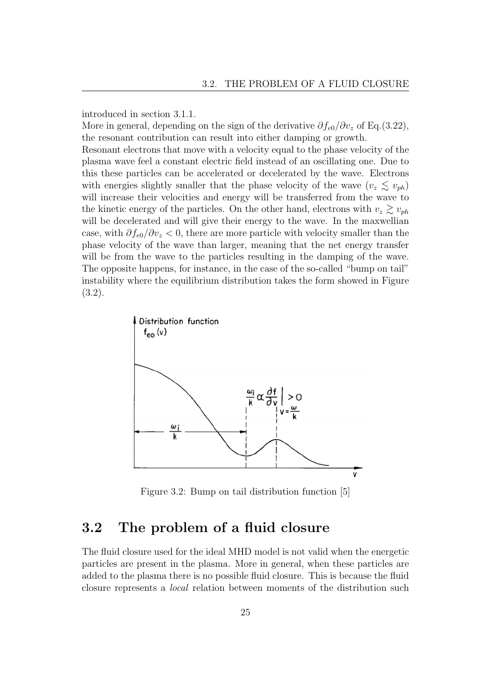introduced in section 3.1.1.

More in general, depending on the sign of the derivative  $\partial f_{e0}/\partial v_z$  of Eq.(3.22), the resonant contribution can result into either damping or growth.

Resonant electrons that move with a velocity equal to the phase velocity of the plasma wave feel a constant electric field instead of an oscillating one. Due to this these particles can be accelerated or decelerated by the wave. Electrons with energies slightly smaller that the phase velocity of the wave  $(v_z \leq v_{ph})$ will increase their velocities and energy will be transferred from the wave to the kinetic energy of the particles. On the other hand, electrons with  $v_z \gtrsim v_{ph}$ will be decelerated and will give their energy to the wave. In the maxwellian case, with  $\partial f_{e0}/\partial v_z < 0$ , there are more particle with velocity smaller than the phase velocity of the wave than larger, meaning that the net energy transfer will be from the wave to the particles resulting in the damping of the wave. The opposite happens, for instance, in the case of the so-called "bump on tail" instability where the equilibrium distribution takes the form showed in Figure (3.2).



Figure 3.2: Bump on tail distribution function [5]

## 3.2 The problem of a fluid closure

The fluid closure used for the ideal MHD model is not valid when the energetic particles are present in the plasma. More in general, when these particles are added to the plasma there is no possible fluid closure. This is because the fluid closure represents a local relation between moments of the distribution such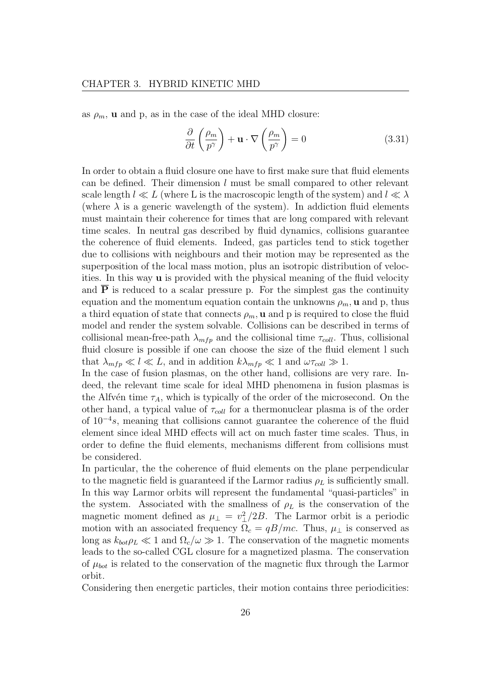as  $\rho_m$ , **u** and p, as in the case of the ideal MHD closure:

$$
\frac{\partial}{\partial t} \left( \frac{\rho_m}{p^{\gamma}} \right) + \mathbf{u} \cdot \nabla \left( \frac{\rho_m}{p^{\gamma}} \right) = 0 \tag{3.31}
$$

In order to obtain a fluid closure one have to first make sure that fluid elements can be defined. Their dimension  $l$  must be small compared to other relevant scale length  $l \ll L$  (where L is the macroscopic length of the system) and  $l \ll \lambda$ (where  $\lambda$  is a generic wavelength of the system). In addiction fluid elements must maintain their coherence for times that are long compared with relevant time scales. In neutral gas described by fluid dynamics, collisions guarantee the coherence of fluid elements. Indeed, gas particles tend to stick together due to collisions with neighbours and their motion may be represented as the superposition of the local mass motion, plus an isotropic distribution of velocities. In this way u is provided with the physical meaning of the fluid velocity and  $\overline{P}$  is reduced to a scalar pressure p. For the simplest gas the continuity equation and the momentum equation contain the unknowns  $\rho_m$ , **u** and p, thus a third equation of state that connects  $\rho_m$ , **u** and p is required to close the fluid model and render the system solvable. Collisions can be described in terms of collisional mean-free-path  $\lambda_{mfp}$  and the collisional time  $\tau_{coll}$ . Thus, collisional fluid closure is possible if one can choose the size of the fluid element l such that  $\lambda_{mfp} \ll l \ll L$ , and in addition  $k\lambda_{mfp} \ll 1$  and  $\omega\tau_{coll} \gg 1$ .

In the case of fusion plasmas, on the other hand, collisions are very rare. Indeed, the relevant time scale for ideal MHD phenomena in fusion plasmas is the Alfvén time  $\tau_A$ , which is typically of the order of the microsecond. On the other hand, a typical value of  $\tau_{coll}$  for a thermonuclear plasma is of the order of 10<sup>−</sup><sup>4</sup> s, meaning that collisions cannot guarantee the coherence of the fluid element since ideal MHD effects will act on much faster time scales. Thus, in order to define the fluid elements, mechanisms different from collisions must be considered.

In particular, the the coherence of fluid elements on the plane perpendicular to the magnetic field is guaranteed if the Larmor radius  $\rho_L$  is sufficiently small. In this way Larmor orbits will represent the fundamental "quasi-particles" in the system. Associated with the smallness of  $\rho_L$  is the conservation of the magnetic moment defined as  $\mu_{\perp} = v_{\perp}^2/2B$ . The Larmor orbit is a periodic motion with an associated frequency  $\Omega_c = qB/mc$ . Thus,  $\mu_{\perp}$  is conserved as long as  $k_{bot} \rho_L \ll 1$  and  $\Omega_c/\omega \gg 1$ . The conservation of the magnetic moments leads to the so-called CGL closure for a magnetized plasma. The conservation of  $\mu_{bot}$  is related to the conservation of the magnetic flux through the Larmor orbit.

Considering then energetic particles, their motion contains three periodicities: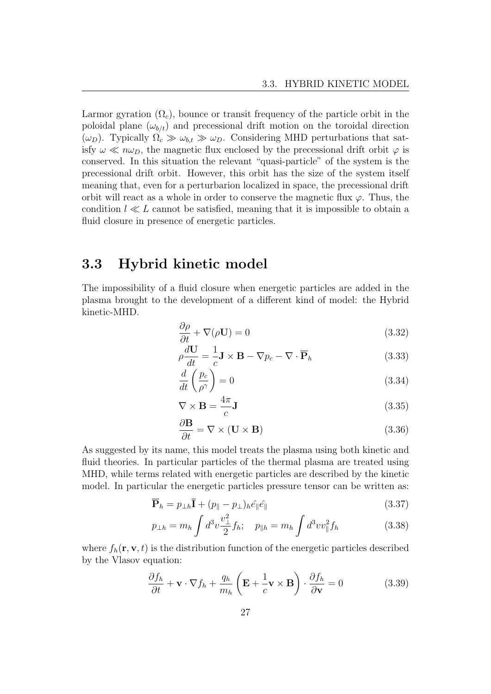Larmor gyration  $(\Omega_c)$ , bounce or transit frequency of the particle orbit in the poloidal plane  $(\omega_{b/t})$  and precessional drift motion on the toroidal direction  $(\omega_D)$ . Typically  $\Omega_c \gg \omega_{b,t} \gg \omega_D$ . Considering MHD perturbations that satisfy  $\omega \ll n\omega_D$ , the magnetic flux enclosed by the precessional drift orbit  $\varphi$  is conserved. In this situation the relevant "quasi-particle" of the system is the precessional drift orbit. However, this orbit has the size of the system itself meaning that, even for a perturbarion localized in space, the precessional drift orbit will react as a whole in order to conserve the magnetic flux  $\varphi$ . Thus, the condition  $l \ll L$  cannot be satisfied, meaning that it is impossible to obtain a fluid closure in presence of energetic particles.

## 3.3 Hybrid kinetic model

The impossibility of a fluid closure when energetic particles are added in the plasma brought to the development of a different kind of model: the Hybrid kinetic-MHD.

$$
\frac{\partial \rho}{\partial t} + \nabla(\rho \mathbf{U}) = 0 \tag{3.32}
$$

$$
\rho \frac{d\mathbf{U}}{dt} = -\frac{1}{c} \mathbf{J} \times \mathbf{B} - \nabla p_c - \nabla \cdot \overline{\mathbf{P}}_h \tag{3.33}
$$

$$
\frac{d}{dt}\left(\frac{p_c}{\rho^{\gamma}}\right) = 0\tag{3.34}
$$

$$
\nabla \times \mathbf{B} = \frac{4\pi}{c} \mathbf{J}
$$
 (3.35)

$$
\frac{\partial \mathbf{B}}{\partial t} = \nabla \times (\mathbf{U} \times \mathbf{B}) \tag{3.36}
$$

As suggested by its name, this model treats the plasma using both kinetic and fluid theories. In particular particles of the thermal plasma are treated using MHD, while terms related with energetic particles are described by the kinetic model. In particular the energetic particles pressure tensor can be written as:

$$
\overline{\mathbf{P}}_h = p_{\perp h} \overline{\mathbf{I}} + (p_{\parallel} - p_{\perp})_h \hat{e}_{\parallel} \hat{e}_{\parallel}
$$
\n(3.37)

$$
p_{\perp h} = m_h \int d^3 v \frac{v_{\perp}^2}{2} f_h; \quad p_{\parallel h} = m_h \int d^3 v v_{\parallel}^2 f_h \tag{3.38}
$$

where  $f_h(\mathbf{r}, \mathbf{v}, t)$  is the distribution function of the energetic particles described by the Vlasov equation:

$$
\frac{\partial f_h}{\partial t} + \mathbf{v} \cdot \nabla f_h + \frac{q_h}{m_h} \left( \mathbf{E} + \frac{1}{c} \mathbf{v} \times \mathbf{B} \right) \cdot \frac{\partial f_h}{\partial \mathbf{v}} = 0 \tag{3.39}
$$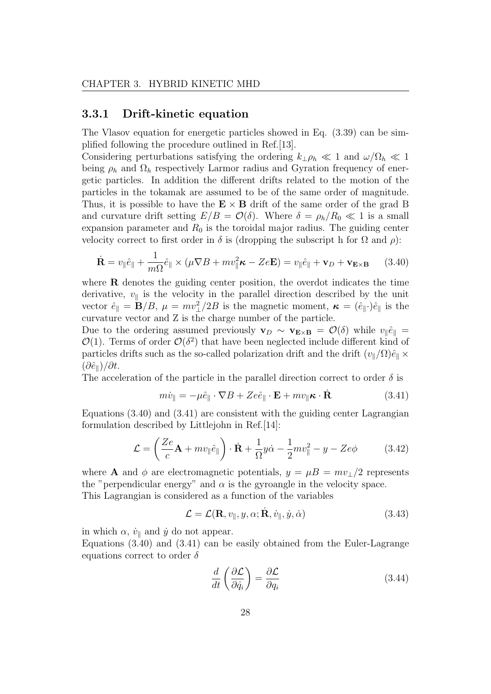#### 3.3.1 Drift-kinetic equation

The Vlasov equation for energetic particles showed in Eq. (3.39) can be simplified following the procedure outlined in Ref.[13].

Considering perturbations satisfying the ordering  $k_{\perp} \rho_h \ll 1$  and  $\omega / \Omega_h \ll 1$ being  $\rho_h$  and  $\Omega_h$  respectively Larmor radius and Gyration frequency of energetic particles. In addition the different drifts related to the motion of the particles in the tokamak are assumed to be of the same order of magnitude. Thus, it is possible to have the  $E \times B$  drift of the same order of the grad B and curvature drift setting  $E/B = \mathcal{O}(\delta)$ . Where  $\delta = \rho_h/R_0 \ll 1$  is a small expansion parameter and  $R_0$  is the toroidal major radius. The guiding center velocity correct to first order in  $\delta$  is (dropping the subscript h for  $\Omega$  and  $\rho$ ):

$$
\dot{\mathbf{R}} = v_{\parallel} \hat{e}_{\parallel} + \frac{1}{m\Omega} \hat{e}_{\parallel} \times (\mu \nabla B + m v_{\parallel}^2 \boldsymbol{\kappa} - Ze\mathbf{E}) = v_{\parallel} \hat{e}_{\parallel} + \mathbf{v}_D + \mathbf{v}_{\mathbf{E} \times \mathbf{B}} \qquad (3.40)
$$

where **R** denotes the guiding center position, the overdot indicates the time derivative,  $v_{\parallel}$  is the velocity in the parallel direction described by the unit vector  $\hat{e}_{\parallel} = \mathbf{B}/B$ ,  $\mu = mv_{\perp}^2/2B$  is the magnetic moment,  $\boldsymbol{\kappa} = (\hat{e}_{\parallel} \cdot)\hat{e}_{\parallel}$  is the curvature vector and Z is the charge number of the particle.

Due to the ordering assumed previously  $\mathbf{v}_D \sim \mathbf{v}_{\mathbf{E}\times\mathbf{B}} = \mathcal{O}(\delta)$  while  $v_{\parallel} \hat{e}_{\parallel} =$  $\mathcal{O}(1)$ . Terms of order  $\mathcal{O}(\delta^2)$  that have been neglected include different kind of particles drifts such as the so-called polarization drift and the drift  $(v_{\parallel}/\Omega)\hat{e}_{\parallel} \times$  $(\partial \hat{e}_{\parallel})/\partial t$ .

The acceleration of the particle in the parallel direction correct to order  $\delta$  is

$$
m\dot{v}_{\parallel} = -\mu \hat{e}_{\parallel} \cdot \nabla B + Ze\hat{e}_{\parallel} \cdot \mathbf{E} + mv_{\parallel} \boldsymbol{\kappa} \cdot \dot{\mathbf{R}} \tag{3.41}
$$

Equations  $(3.40)$  and  $(3.41)$  are consistent with the guiding center Lagrangian formulation described by Littlejohn in Ref.[14]:

$$
\mathcal{L} = \left(\frac{Ze}{c}\mathbf{A} + mv_{\parallel}\hat{e}_{\parallel}\right) \cdot \dot{\mathbf{R}} + \frac{1}{\Omega}y\dot{\alpha} - \frac{1}{2}mv_{\parallel}^2 - y - Ze\phi \tag{3.42}
$$

where **A** and  $\phi$  are electromagnetic potentials,  $y = \mu B = mv_{\perp}/2$  represents the "perpendicular energy" and  $\alpha$  is the gyroangle in the velocity space.

This Lagrangian is considered as a function of the variables

$$
\mathcal{L} = \mathcal{L}(\mathbf{R}, v_{\parallel}, y, \alpha; \dot{\mathbf{R}}, \dot{v}_{\parallel}, \dot{y}, \dot{\alpha}) \tag{3.43}
$$

in which  $\alpha$ ,  $\dot{v}_{\parallel}$  and  $\dot{y}$  do not appear.

Equations (3.40) and (3.41) can be easily obtained from the Euler-Lagrange equations correct to order  $\delta$ 

$$
\frac{d}{dt}\left(\frac{\partial \mathcal{L}}{\partial \dot{q}_i}\right) = \frac{\partial \mathcal{L}}{\partial q_i} \tag{3.44}
$$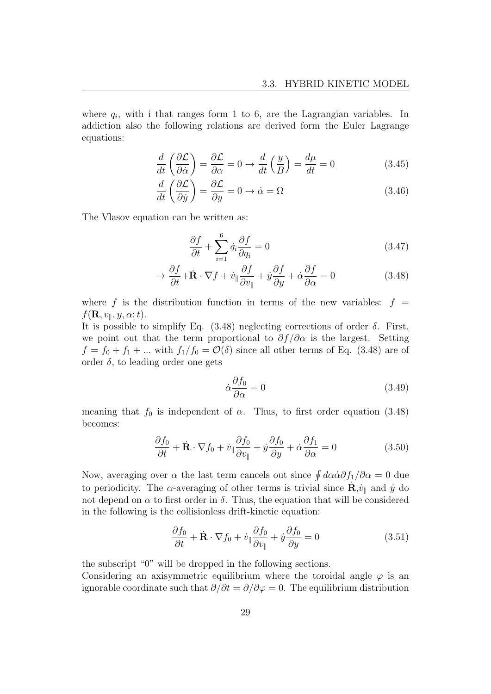where  $q_i$ , with i that ranges form 1 to 6, are the Lagrangian variables. In addiction also the following relations are derived form the Euler Lagrange equations:

$$
\frac{d}{dt}\left(\frac{\partial \mathcal{L}}{\partial \dot{\alpha}}\right) = \frac{\partial \mathcal{L}}{\partial \alpha} = 0 \to \frac{d}{dt}\left(\frac{y}{B}\right) = \frac{d\mu}{dt} = 0\tag{3.45}
$$

$$
\frac{d}{dt}\left(\frac{\partial \mathcal{L}}{\partial \dot{y}}\right) = \frac{\partial \mathcal{L}}{\partial y} = 0 \to \dot{\alpha} = \Omega \tag{3.46}
$$

The Vlasov equation can be written as:

$$
\frac{\partial f}{\partial t} + \sum_{i=1}^{6} \dot{q}_i \frac{\partial f}{\partial q_i} = 0 \tag{3.47}
$$

$$
\rightarrow \frac{\partial f}{\partial t} + \dot{\mathbf{R}} \cdot \nabla f + \dot{v}_{\parallel} \frac{\partial f}{\partial v_{\parallel}} + \dot{y} \frac{\partial f}{\partial y} + \dot{\alpha} \frac{\partial f}{\partial \alpha} = 0 \tag{3.48}
$$

where f is the distribution function in terms of the new variables:  $f =$  $f(\mathbf{R}, v_{\parallel}, y, \alpha; t).$ 

It is possible to simplify Eq.  $(3.48)$  neglecting corrections of order  $\delta$ . First, we point out that the term proportional to  $\partial f/\partial \alpha$  is the largest. Setting  $f = f_0 + f_1 + \dots$  with  $f_1/f_0 = \mathcal{O}(\delta)$  since all other terms of Eq. (3.48) are of order  $\delta$ , to leading order one gets

$$
\dot{\alpha}\frac{\partial f_0}{\partial \alpha} = 0\tag{3.49}
$$

meaning that  $f_0$  is independent of  $\alpha$ . Thus, to first order equation (3.48) becomes:

$$
\frac{\partial f_0}{\partial t} + \dot{\mathbf{R}} \cdot \nabla f_0 + \dot{v}_\parallel \frac{\partial f_0}{\partial v_\parallel} + \dot{y} \frac{\partial f_0}{\partial y} + \dot{\alpha} \frac{\partial f_1}{\partial \alpha} = 0 \tag{3.50}
$$

Now, averaging over  $\alpha$  the last term cancels out since  $\oint d\alpha \dot{\alpha} \partial f_1 / \partial \alpha = 0$  due to periodicity. The  $\alpha$ -averaging of other terms is trivial since  $\dot{\mathbf{R}}$ ,  $\dot{v}_{\parallel}$  and  $\dot{y}$  do not depend on  $\alpha$  to first order in  $\delta$ . Thus, the equation that will be considered in the following is the collisionless drift-kinetic equation:

$$
\frac{\partial f_0}{\partial t} + \dot{\mathbf{R}} \cdot \nabla f_0 + \dot{v}_{\parallel} \frac{\partial f_0}{\partial v_{\parallel}} + \dot{y} \frac{\partial f_0}{\partial y} = 0 \tag{3.51}
$$

the subscript "0" will be dropped in the following sections.

Considering an axisymmetric equilibrium where the toroidal angle  $\varphi$  is an ignorable coordinate such that  $\partial/\partial t = \partial/\partial \varphi = 0$ . The equilibrium distribution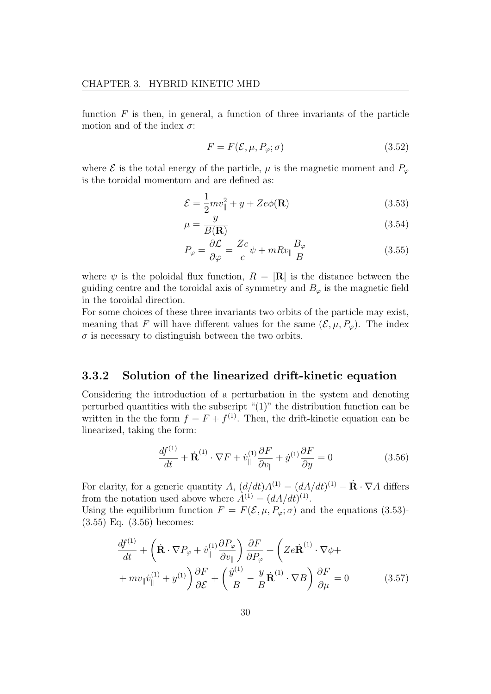function  $F$  is then, in general, a function of three invariants of the particle motion and of the index  $\sigma$ :

$$
F = F(\mathcal{E}, \mu, P_{\varphi}; \sigma) \tag{3.52}
$$

where  $\mathcal E$  is the total energy of the particle,  $\mu$  is the magnetic moment and  $P_{\varphi}$ is the toroidal momentum and are defined as:

$$
\mathcal{E} = \frac{1}{2}mv_{\parallel}^2 + y + Ze\phi(\mathbf{R})\tag{3.53}
$$

$$
\mu = \frac{y}{B(\mathbf{R})}
$$
(3.54)

$$
P_{\varphi} = \frac{\partial \mathcal{L}}{\partial \varphi} = \frac{Ze}{c} \psi + mRv_{\parallel} \frac{B_{\varphi}}{B}
$$
(3.55)

where  $\psi$  is the poloidal flux function,  $R = |\mathbf{R}|$  is the distance between the guiding centre and the toroidal axis of symmetry and  $B_{\varphi}$  is the magnetic field in the toroidal direction.

For some choices of these three invariants two orbits of the particle may exist, meaning that F will have different values for the same  $(\mathcal{E}, \mu, P_{\varphi})$ . The index  $\sigma$  is necessary to distinguish between the two orbits.

#### 3.3.2 Solution of the linearized drift-kinetic equation

Considering the introduction of a perturbation in the system and denoting perturbed quantities with the subscript "(1)" the distribution function can be written in the the form  $f = F + f^{(1)}$ . Then, the drift-kinetic equation can be linearized, taking the form:

$$
\frac{df^{(1)}}{dt} + \dot{\mathbf{R}}^{(1)} \cdot \nabla F + \dot{v}_{\parallel}^{(1)} \frac{\partial F}{\partial v_{\parallel}} + \dot{y}^{(1)} \frac{\partial F}{\partial y} = 0 \tag{3.56}
$$

For clarity, for a generic quantity A,  $(d/dt)A^{(1)} = (dA/dt)^{(1)} - \dot{\mathbf{R}} \cdot \nabla A$  differs from the notation used above where  $\hat{A}^{(1)} = (dA/dt)^{(1)}$ .

Using the equilibrium function  $F = F(\mathcal{E}, \mu, P_{\varphi}; \sigma)$  and the equations (3.53)-(3.55) Eq. (3.56) becomes:

$$
\frac{df^{(1)}}{dt} + \left(\dot{\mathbf{R}} \cdot \nabla P_{\varphi} + \dot{v}_{\parallel}^{(1)} \frac{\partial P_{\varphi}}{\partial v_{\parallel}}\right) \frac{\partial F}{\partial P_{\varphi}} + \left(Ze\dot{\mathbf{R}}^{(1)} \cdot \nabla \phi ++ mv_{\parallel}\dot{v}_{\parallel}^{(1)} + y^{(1)}\right) \frac{\partial F}{\partial \mathcal{E}} + \left(\frac{\dot{y}^{(1)}}{B} - \frac{y}{B}\dot{\mathbf{R}}^{(1)} \cdot \nabla B\right) \frac{\partial F}{\partial \mu} = 0
$$
\n(3.57)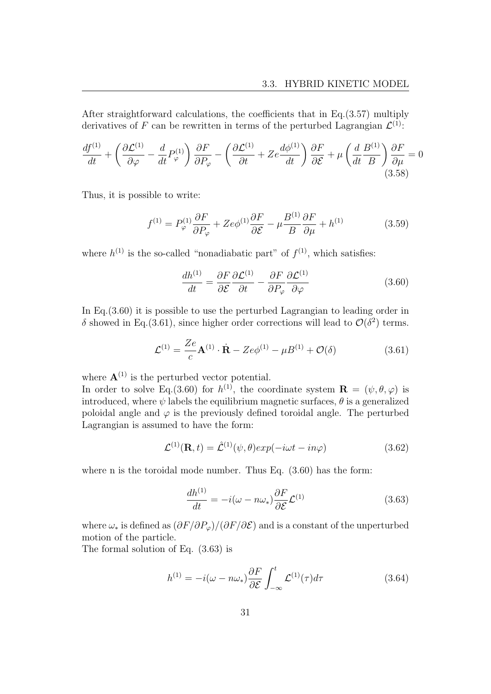After straightforward calculations, the coefficients that in Eq.(3.57) multiply derivatives of F can be rewritten in terms of the perturbed Lagrangian  $\mathcal{L}^{(1)}$ :

$$
\frac{df^{(1)}}{dt} + \left(\frac{\partial \mathcal{L}^{(1)}}{\partial \varphi} - \frac{d}{dt} P_{\varphi}^{(1)}\right) \frac{\partial F}{\partial P_{\varphi}} - \left(\frac{\partial \mathcal{L}^{(1)}}{\partial t} + Ze \frac{d\phi^{(1)}}{dt}\right) \frac{\partial F}{\partial \mathcal{E}} + \mu \left(\frac{d}{dt} \frac{B^{(1)}}{B}\right) \frac{\partial F}{\partial \mu} = 0
$$
\n(3.58)

Thus, it is possible to write:

$$
f^{(1)} = P_{\varphi}^{(1)} \frac{\partial F}{\partial P_{\varphi}} + Ze\phi^{(1)} \frac{\partial F}{\partial \mathcal{E}} - \mu \frac{B^{(1)}}{B} \frac{\partial F}{\partial \mu} + h^{(1)} \tag{3.59}
$$

where  $h^{(1)}$  is the so-called "nonadiabatic part" of  $f^{(1)}$ , which satisfies:

$$
\frac{dh^{(1)}}{dt} = \frac{\partial F}{\partial \mathcal{E}} \frac{\partial \mathcal{L}^{(1)}}{\partial t} - \frac{\partial F}{\partial P_{\varphi}} \frac{\partial \mathcal{L}^{(1)}}{\partial \varphi} \tag{3.60}
$$

In Eq.(3.60) it is possible to use the perturbed Lagrangian to leading order in δ showed in Eq.(3.61), since higher order corrections will lead to  $\mathcal{O}(\delta^2)$  terms.

$$
\mathcal{L}^{(1)} = \frac{Ze}{c} \mathbf{A}^{(1)} \cdot \dot{\mathbf{R}} - Ze\phi^{(1)} - \mu B^{(1)} + \mathcal{O}(\delta)
$$
 (3.61)

where  $\mathbf{A}^{(1)}$  is the perturbed vector potential.

In order to solve Eq.(3.60) for  $h^{(1)}$ , the coordinate system  $\mathbf{R} = (\psi, \theta, \varphi)$  is introduced, where  $\psi$  labels the equilibrium magnetic surfaces,  $\theta$  is a generalized poloidal angle and  $\varphi$  is the previously defined toroidal angle. The perturbed Lagrangian is assumed to have the form:

$$
\mathcal{L}^{(1)}(\mathbf{R},t) = \hat{\mathcal{L}}^{(1)}(\psi,\theta)exp(-i\omega t - in\varphi)
$$
\n(3.62)

where n is the toroidal mode number. Thus Eq. (3.60) has the form:

$$
\frac{dh^{(1)}}{dt} = -i(\omega - n\omega_*) \frac{\partial F}{\partial \mathcal{E}} \mathcal{L}^{(1)} \tag{3.63}
$$

where  $\omega_*$  is defined as  $(\partial F/\partial P_{\varphi})/(\partial F/\partial \mathcal{E})$  and is a constant of the unperturbed motion of the particle.

The formal solution of Eq. (3.63) is

$$
h^{(1)} = -i(\omega - n\omega_*) \frac{\partial F}{\partial \mathcal{E}} \int_{-\infty}^{t} \mathcal{L}^{(1)}(\tau) d\tau \tag{3.64}
$$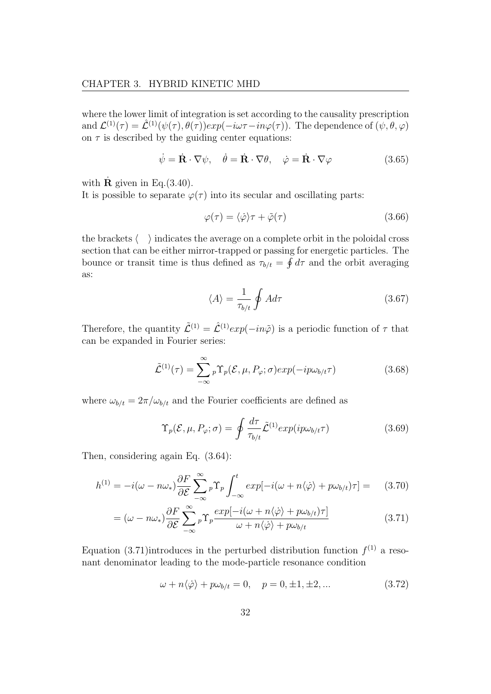where the lower limit of integration is set according to the causality prescription and  $\mathcal{L}^{(1)}(\tau) = \hat{\mathcal{L}}^{(1)}(\psi(\tau), \theta(\tau))exp(-i\omega \tau - in\varphi(\tau))$ . The dependence of  $(\psi, \theta, \varphi)$ on  $\tau$  is described by the guiding center equations:

$$
\dot{\psi} = \dot{\mathbf{R}} \cdot \nabla \psi, \quad \dot{\theta} = \dot{\mathbf{R}} \cdot \nabla \theta, \quad \dot{\varphi} = \dot{\mathbf{R}} \cdot \nabla \varphi \tag{3.65}
$$

with  $\bf{R}$  given in Eq.(3.40).

It is possible to separate  $\varphi(\tau)$  into its secular and oscillating parts:

$$
\varphi(\tau) = \langle \dot{\varphi} \rangle \tau + \tilde{\varphi}(\tau) \tag{3.66}
$$

the brackets  $\langle \rangle$  indicates the average on a complete orbit in the poloidal cross section that can be either mirror-trapped or passing for energetic particles. The bounce or transit time is thus defined as  $\tau_{b/t} = \oint d\tau$  and the orbit averaging as:

$$
\langle A \rangle = \frac{1}{\tau_{b/t}} \oint A d\tau \tag{3.67}
$$

Therefore, the quantity  $\tilde{\mathcal{L}}^{(1)} = \hat{\mathcal{L}}^{(1)} exp(-in\tilde{\varphi})$  is a periodic function of  $\tau$  that can be expanded in Fourier series:

$$
\tilde{\mathcal{L}}^{(1)}(\tau) = \sum_{-\infty}^{\infty} {}_{p} \Upsilon_{p}(\mathcal{E}, \mu, P_{\varphi}; \sigma) exp(-ip\omega_{b/t} \tau)
$$
\n(3.68)

where  $\omega_{b/t} = 2\pi/\omega_{b/t}$  and the Fourier coefficients are defined as

$$
\Upsilon_p(\mathcal{E}, \mu, P_{\varphi}; \sigma) = \oint \frac{d\tau}{\tau_{b/t}} \tilde{\mathcal{L}}^{(1)} exp(i p \omega_{b/t} \tau) \tag{3.69}
$$

Then, considering again Eq. (3.64):

$$
h^{(1)} = -i(\omega - n\omega_*) \frac{\partial F}{\partial \mathcal{E}} \sum_{-\infty}^{\infty} {}_p\Upsilon_p \int_{-\infty}^t exp[-i(\omega + n\langle \dot{\varphi} \rangle + p\omega_{b/t})\tau] = (3.70)
$$

$$
= (\omega - n\omega_*) \frac{\partial F}{\partial \mathcal{E}} \sum_{-\infty}^{\infty} {}_{p} \Upsilon_{p} \frac{exp[-i(\omega + n\langle \dot{\varphi} \rangle + p\omega_{b/t})\tau]}{\omega + n\langle \dot{\varphi} \rangle + p\omega_{b/t}} \tag{3.71}
$$

Equation (3.71) introduces in the perturbed distribution function  $f^{(1)}$  a resonant denominator leading to the mode-particle resonance condition

$$
\omega + n \langle \dot{\varphi} \rangle + p \omega_{b/t} = 0, \quad p = 0, \pm 1, \pm 2, \dots \tag{3.72}
$$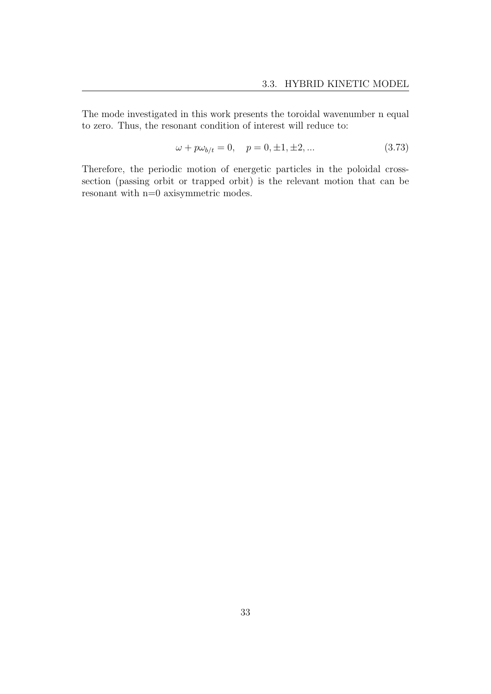The mode investigated in this work presents the toroidal wavenumber n equal to zero. Thus, the resonant condition of interest will reduce to:

$$
\omega + p\omega_{b/t} = 0, \quad p = 0, \pm 1, \pm 2, \dots \tag{3.73}
$$

Therefore, the periodic motion of energetic particles in the poloidal crosssection (passing orbit or trapped orbit) is the relevant motion that can be resonant with n=0 axisymmetric modes.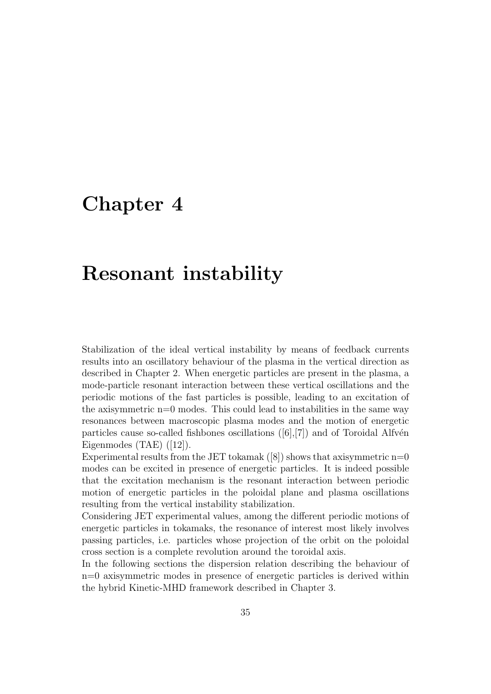## Chapter 4

# Resonant instability

Stabilization of the ideal vertical instability by means of feedback currents results into an oscillatory behaviour of the plasma in the vertical direction as described in Chapter 2. When energetic particles are present in the plasma, a mode-particle resonant interaction between these vertical oscillations and the periodic motions of the fast particles is possible, leading to an excitation of the axisymmetric  $n=0$  modes. This could lead to instabilities in the same way resonances between macroscopic plasma modes and the motion of energetic particles cause so-called fishbones oscillations  $([6],[7])$  and of Toroidal Alfvén Eigenmodes (TAE) ([12]).

Experimental results from the JET tokamak  $([8])$  shows that axisymmetric  $n=0$ modes can be excited in presence of energetic particles. It is indeed possible that the excitation mechanism is the resonant interaction between periodic motion of energetic particles in the poloidal plane and plasma oscillations resulting from the vertical instability stabilization.

Considering JET experimental values, among the different periodic motions of energetic particles in tokamaks, the resonance of interest most likely involves passing particles, i.e. particles whose projection of the orbit on the poloidal cross section is a complete revolution around the toroidal axis.

In the following sections the dispersion relation describing the behaviour of n=0 axisymmetric modes in presence of energetic particles is derived within the hybrid Kinetic-MHD framework described in Chapter 3.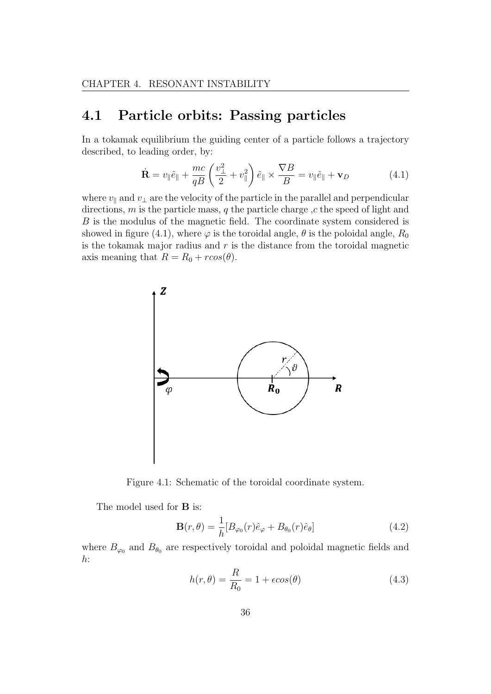## 4.1 Particle orbits: Passing particles

In a tokamak equilibrium the guiding center of a particle follows a trajectory described, to leading order, by:

$$
\dot{\mathbf{R}} = v_{\parallel} \hat{e}_{\parallel} + \frac{mc}{qB} \left( \frac{v_{\perp}^2}{2} + v_{\parallel}^2 \right) \hat{e}_{\parallel} \times \frac{\nabla B}{B} = v_{\parallel} \hat{e}_{\parallel} + \mathbf{v}_D \tag{4.1}
$$

where  $v_{\parallel}$  and  $v_{\perp}$  are the velocity of the particle in the parallel and perpendicular directions,  $m$  is the particle mass,  $q$  the particle charge  $,c$  the speed of light and B is the modulus of the magnetic field. The coordinate system considered is showed in figure (4.1), where  $\varphi$  is the toroidal angle,  $\theta$  is the poloidal angle,  $R_0$ is the tokamak major radius and  $r$  is the distance from the toroidal magnetic axis meaning that  $R = R_0 + r\cos(\theta)$ .



Figure 4.1: Schematic of the toroidal coordinate system.

The model used for **B** is:

$$
\mathbf{B}(r,\theta) = \frac{1}{h} [B_{\varphi_0}(r)\hat{e}_{\varphi} + B_{\theta_0}(r)\hat{e}_{\theta}] \qquad (4.2)
$$

where  $B_{\varphi_0}$  and  $B_{\theta_0}$  are respectively toroidal and poloidal magnetic fields and  $h$ :

$$
h(r,\theta) = \frac{R}{R_0} = 1 + \epsilon \cos(\theta)
$$
\n(4.3)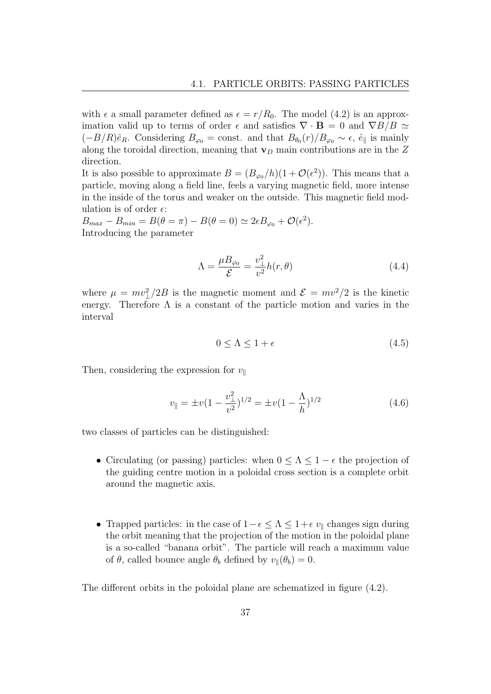with  $\epsilon$  a small parameter defined as  $\epsilon = r/R_0$ . The model (4.2) is an approximation valid up to terms of order  $\epsilon$  and satisfies  $\nabla \cdot \mathbf{B} = 0$  and  $\nabla B/B \simeq$  $(-B/R)\hat{e}_R$ . Considering  $B_{\varphi_0} = \text{const.}$  and that  $B_{\theta_0}(r)/B_{\varphi_0} \sim \epsilon$ ,  $\hat{e}_{\parallel}$  is mainly along the toroidal direction, meaning that  $\mathbf{v}_D$  main contributions are in the Z direction.

It is also possible to approximate  $B = (B_{\varphi_0}/h)(1 + \mathcal{O}(\epsilon^2))$ . This means that a particle, moving along a field line, feels a varying magnetic field, more intense in the inside of the torus and weaker on the outside. This magnetic field modulation is of order  $\epsilon$ :

 $B_{max} - B_{min} = B(\theta = \pi) - B(\theta = 0) \simeq 2\epsilon B_{\varphi_0} + \mathcal{O}(\epsilon^2).$ Introducing the parameter

$$
\Lambda = \frac{\mu B_{\varphi_0}}{\mathcal{E}} = \frac{v_{\perp}^2}{v^2} h(r, \theta) \tag{4.4}
$$

where  $\mu = mv_{\perp}^2/2B$  is the magnetic moment and  $\mathcal{E} = mv^2/2$  is the kinetic energy. Therefore  $\Lambda$  is a constant of the particle motion and varies in the interval

$$
0 \le \Lambda \le 1 + \epsilon \tag{4.5}
$$

Then, considering the expression for  $v_{\parallel}$ 

$$
v_{\parallel} = \pm v (1 - \frac{v_{\perp}^2}{v^2})^{1/2} = \pm v (1 - \frac{\Lambda}{h})^{1/2}
$$
\n(4.6)

two classes of particles can be distinguished:

- Circulating (or passing) particles: when  $0 \leq \Lambda \leq 1 \epsilon$  the projection of the guiding centre motion in a poloidal cross section is a complete orbit around the magnetic axis.
- Trapped particles: in the case of  $1-\epsilon \leq \Lambda \leq 1+\epsilon v_{\parallel}$  changes sign during the orbit meaning that the projection of the motion in the poloidal plane is a so-called "banana orbit". The particle will reach a maximum value of  $\theta$ , called bounce angle  $\theta_b$  defined by  $v_{\parallel}(\theta_b) = 0$ .

The different orbits in the poloidal plane are schematized in figure (4.2).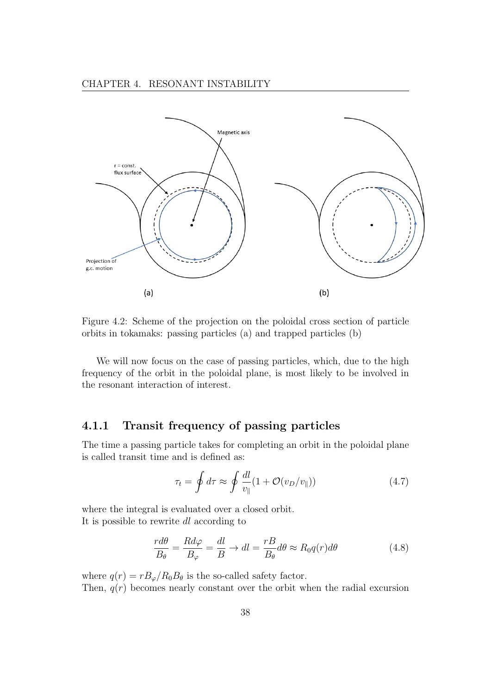

Figure 4.2: Scheme of the projection on the poloidal cross section of particle orbits in tokamaks: passing particles (a) and trapped particles (b)

We will now focus on the case of passing particles, which, due to the high frequency of the orbit in the poloidal plane, is most likely to be involved in the resonant interaction of interest.

#### 4.1.1 Transit frequency of passing particles

The time a passing particle takes for completing an orbit in the poloidal plane is called transit time and is defined as:

$$
\tau_t = \oint d\tau \approx \oint \frac{dl}{v_{\parallel}} (1 + \mathcal{O}(v_D/v_{\parallel})) \tag{4.7}
$$

where the integral is evaluated over a closed orbit. It is possible to rewrite dl according to

$$
\frac{r d\theta}{B_{\theta}} = \frac{R d\varphi}{B_{\varphi}} = \frac{dl}{B} \to dl = \frac{rB}{B_{\theta}} d\theta \approx R_0 q(r) d\theta
$$
\n(4.8)

where  $q(r) = rB_{\varphi}/R_0B_{\theta}$  is the so-called safety factor. Then,  $q(r)$  becomes nearly constant over the orbit when the radial excursion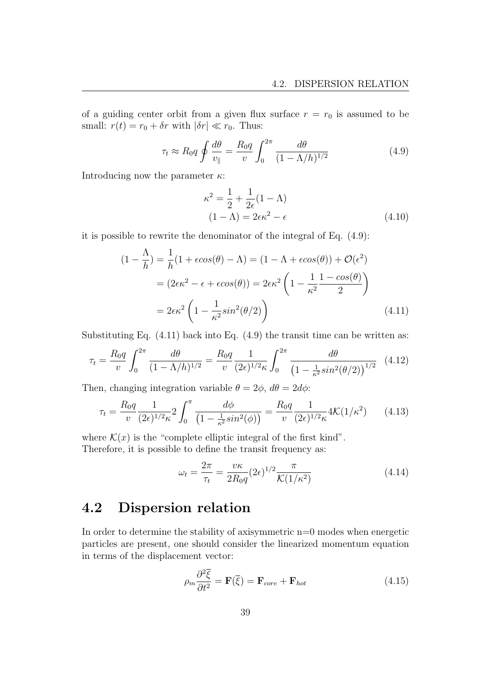of a guiding center orbit from a given flux surface  $r = r_0$  is assumed to be small:  $r(t) = r_0 + \delta r$  with  $|\delta r| \ll r_0$ . Thus:

$$
\tau_t \approx R_0 q \oint \frac{d\theta}{v_{\parallel}} = \frac{R_0 q}{v} \int_0^{2\pi} \frac{d\theta}{(1 - \Lambda/h)^{1/2}} \tag{4.9}
$$

Introducing now the parameter  $\kappa$ :

$$
\kappa^2 = \frac{1}{2} + \frac{1}{2\epsilon}(1 - \Lambda)
$$
  
(1 - \Lambda) = 2\epsilon\kappa^2 - \epsilon (4.10)

it is possible to rewrite the denominator of the integral of Eq. (4.9):

$$
(1 - \frac{\Lambda}{h}) = \frac{1}{h}(1 + \epsilon \cos(\theta) - \Lambda) = (1 - \Lambda + \epsilon \cos(\theta)) + \mathcal{O}(\epsilon^2)
$$
  

$$
= (2\epsilon \kappa^2 - \epsilon + \epsilon \cos(\theta)) = 2\epsilon \kappa^2 \left(1 - \frac{1}{\kappa^2} \frac{1 - \cos(\theta)}{2}\right)
$$
  

$$
= 2\epsilon \kappa^2 \left(1 - \frac{1}{\kappa^2} \sin^2(\theta/2)\right)
$$
(4.11)

Substituting Eq.  $(4.11)$  back into Eq.  $(4.9)$  the transit time can be written as:

$$
\tau_t = \frac{R_0 q}{v} \int_0^{2\pi} \frac{d\theta}{(1 - \Lambda/h)^{1/2}} = \frac{R_0 q}{v} \frac{1}{(2\epsilon)^{1/2} \kappa} \int_0^{2\pi} \frac{d\theta}{\left(1 - \frac{1}{\kappa^2} \sin^2(\theta/2)\right)^{1/2}} \tag{4.12}
$$

Then, changing integration variable  $\theta = 2\phi$ ,  $d\theta = 2d\phi$ :

$$
\tau_t = \frac{R_0 q}{v} \frac{1}{(2\epsilon)^{1/2} \kappa} 2 \int_0^\pi \frac{d\phi}{\left(1 - \frac{1}{\kappa^2} \sin^2(\phi)\right)} = \frac{R_0 q}{v} \frac{1}{(2\epsilon)^{1/2} \kappa} 4\mathcal{K}(1/\kappa^2) \tag{4.13}
$$

where  $\mathcal{K}(x)$  is the "complete elliptic integral of the first kind".

Therefore, it is possible to define the transit frequency as:

$$
\omega_t = \frac{2\pi}{\tau_t} = \frac{v\kappa}{2R_0q} (2\epsilon)^{1/2} \frac{\pi}{\mathcal{K}(1/\kappa^2)}\tag{4.14}
$$

## 4.2 Dispersion relation

In order to determine the stability of axisymmetric  $n=0$  modes when energetic particles are present, one should consider the linearized momentum equation in terms of the displacement vector:

$$
\rho_m \frac{\partial^2 \overline{\xi}}{\partial t^2} = \mathbf{F}(\overline{\xi}) = \mathbf{F}_{core} + \mathbf{F}_{hot}
$$
\n(4.15)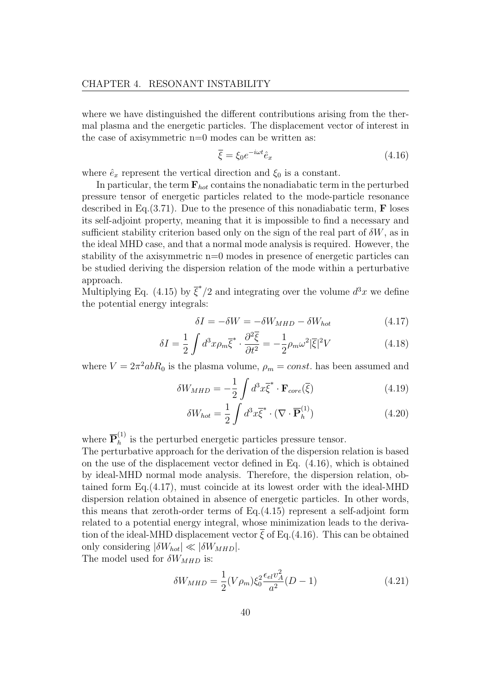where we have distinguished the different contributions arising from the thermal plasma and the energetic particles. The displacement vector of interest in the case of axisymmetric n=0 modes can be written as:

$$
\overline{\xi} = \xi_0 e^{-i\omega t} \hat{e}_x \tag{4.16}
$$

where  $\hat{e}_x$  represent the vertical direction and  $\xi_0$  is a constant.

In particular, the term  $F_{hot}$  contains the nonadiabatic term in the perturbed pressure tensor of energetic particles related to the mode-particle resonance described in Eq.  $(3.71)$ . Due to the presence of this nonadiabatic term, **F** loses its self-adjoint property, meaning that it is impossible to find a necessary and sufficient stability criterion based only on the sign of the real part of  $\delta W$ , as in the ideal MHD case, and that a normal mode analysis is required. However, the stability of the axisymmetric n=0 modes in presence of energetic particles can be studied deriving the dispersion relation of the mode within a perturbative approach.

Multiplying Eq. (4.15) by  $\overline{\xi}^*/2$  and integrating over the volume  $d^3x$  we define the potential energy integrals:

$$
\delta I = -\delta W = -\delta W_{MHD} - \delta W_{hot} \tag{4.17}
$$

$$
\delta I = \frac{1}{2} \int d^3 x \rho_m \overline{\xi}^* \cdot \frac{\partial^2 \overline{\xi}}{\partial t^2} = -\frac{1}{2} \rho_m \omega^2 |\overline{\xi}|^2 V \tag{4.18}
$$

where  $V = 2\pi^2 abR_0$  is the plasma volume,  $\rho_m = const.$  has been assumed and

$$
\delta W_{MHD} = -\frac{1}{2} \int d^3x \overline{\xi}^* \cdot \mathbf{F}_{core}(\overline{\xi}) \tag{4.19}
$$

$$
\delta W_{hot} = \frac{1}{2} \int d^3x \overline{\xi}^* \cdot (\nabla \cdot \overline{\mathbf{P}}_h^{(1)}) \tag{4.20}
$$

where  $\overline{\mathbf{P}}_h^{(1)}$  $h<sup>(1)</sup>$  is the perturbed energetic particles pressure tensor.

The perturbative approach for the derivation of the dispersion relation is based on the use of the displacement vector defined in Eq. (4.16), which is obtained by ideal-MHD normal mode analysis. Therefore, the dispersion relation, obtained form Eq.(4.17), must coincide at its lowest order with the ideal-MHD dispersion relation obtained in absence of energetic particles. In other words, this means that zeroth-order terms of Eq.(4.15) represent a self-adjoint form related to a potential energy integral, whose minimization leads to the derivation of the ideal-MHD displacement vector  $\xi$  of Eq.(4.16). This can be obtained only considering  $|\delta W_{hot}| \ll |\delta W_{MHD}|$ . The model used for  $\delta W_{MHD}$  is:

> $\delta W_{MHD} =$ 1  $\frac{1}{2}(V\rho_m)\xi_0^2$  $\epsilon_{el} v_A^2$  $\frac{a^{2}}{a^{2}}(D-1)$  (4.21)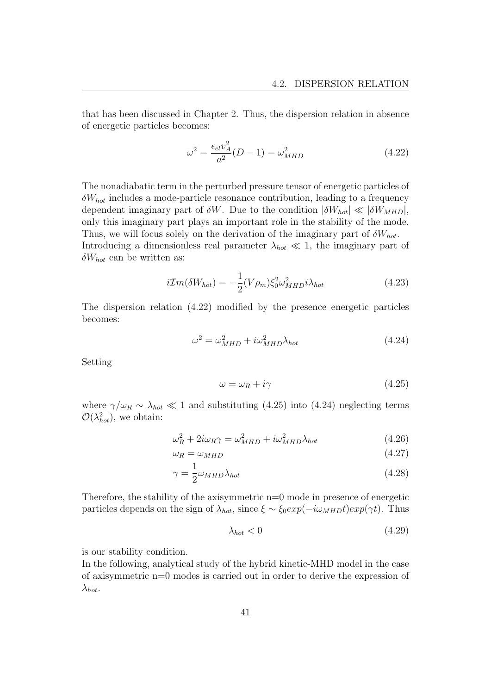that has been discussed in Chapter 2. Thus, the dispersion relation in absence of energetic particles becomes:

$$
\omega^2 = \frac{\epsilon_{el} v_A^2}{a^2} (D - 1) = \omega_{MHD}^2 \tag{4.22}
$$

The nonadiabatic term in the perturbed pressure tensor of energetic particles of  $\delta W_{hot}$  includes a mode-particle resonance contribution, leading to a frequency dependent imaginary part of  $\delta W$ . Due to the condition  $|\delta W_{hot}| \ll |\delta W_{MHD}|$ , only this imaginary part plays an important role in the stability of the mode. Thus, we will focus solely on the derivation of the imaginary part of  $\delta W_{hot}$ . Introducing a dimensionless real parameter  $\lambda_{hot} \ll 1$ , the imaginary part of  $\delta W_{hot}$  can be written as:

$$
i\mathcal{I}m(\delta W_{hot}) = -\frac{1}{2}(V\rho_m)\xi_0^2\omega_{MHD}^2i\lambda_{hot}
$$
\n(4.23)

The dispersion relation (4.22) modified by the presence energetic particles becomes:

$$
\omega^2 = \omega_{MHD}^2 + i\omega_{MHD}^2 \lambda_{hot} \tag{4.24}
$$

Setting

$$
\omega = \omega_R + i\gamma \tag{4.25}
$$

where  $\gamma/\omega_R \sim \lambda_{hot} \ll 1$  and substituting (4.25) into (4.24) neglecting terms  $\mathcal{O}(\lambda_{hot}^2)$ , we obtain:

$$
\omega_R^2 + 2i\omega_R\gamma = \omega_{MHD}^2 + i\omega_{MHD}^2\lambda_{hot}
$$
\n(4.26)

$$
\omega_R = \omega_{MHD} \tag{4.27}
$$

$$
\gamma = \frac{1}{2}\omega_{MHD}\lambda_{hot} \tag{4.28}
$$

Therefore, the stability of the axisymmetric n=0 mode in presence of energetic particles depends on the sign of  $\lambda_{hot}$ , since  $\xi \sim \xi_0 exp(-i\omega_{MHD}t)exp(\gamma t)$ . Thus

$$
\lambda_{hot} < 0 \tag{4.29}
$$

is our stability condition.

In the following, analytical study of the hybrid kinetic-MHD model in the case of axisymmetric n=0 modes is carried out in order to derive the expression of  $\lambda_{hot}$ .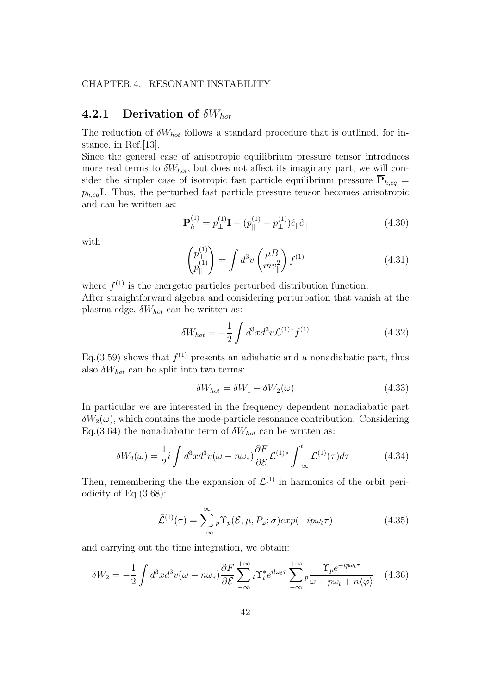#### 4.2.1 Derivation of  $\delta W_{hot}$

The reduction of  $\delta W_{hot}$  follows a standard procedure that is outlined, for instance, in Ref.[13].

Since the general case of anisotropic equilibrium pressure tensor introduces more real terms to  $\delta W_{hot}$ , but does not affect its imaginary part, we will consider the simpler case of isotropic fast particle equilibrium pressure  $\overline{P}_{h,eq} =$  $p_{h,eq}$ **I**. Thus, the perturbed fast particle pressure tensor becomes anisotropic and can be written as:

$$
\overline{\mathbf{P}}_h^{(1)} = p_\perp^{(1)} \overline{\mathbf{I}} + (p_\parallel^{(1)} - p_\perp^{(1)}) \hat{e}_{\parallel} \hat{e}_{\parallel}
$$
 (4.30)

with

$$
\begin{pmatrix} p_{\perp}^{(1)} \\ p_{\parallel}^{(1)} \end{pmatrix} = \int d^3v \begin{pmatrix} \mu B \\ m v_{\parallel}^2 \end{pmatrix} f^{(1)} \tag{4.31}
$$

where  $f^{(1)}$  is the energetic particles perturbed distribution function. After straightforward algebra and considering perturbation that vanish at the plasma edge,  $\delta W_{hot}$  can be written as:

$$
\delta W_{hot} = -\frac{1}{2} \int d^3x d^3v \mathcal{L}^{(1)*} f^{(1)} \tag{4.32}
$$

Eq.(3.59) shows that  $f^{(1)}$  presents an adiabatic and a nonadiabatic part, thus also  $\delta W_{hot}$  can be split into two terms:

$$
\delta W_{hot} = \delta W_1 + \delta W_2(\omega) \tag{4.33}
$$

In particular we are interested in the frequency dependent nonadiabatic part  $\delta W_2(\omega)$ , which contains the mode-particle resonance contribution. Considering Eq.(3.64) the nonadiabatic term of  $\delta W_{hot}$  can be written as:

$$
\delta W_2(\omega) = \frac{1}{2} i \int d^3x d^3v (\omega - n\omega_*) \frac{\partial F}{\partial \mathcal{E}} \mathcal{L}^{(1)*} \int_{-\infty}^t \mathcal{L}^{(1)}(\tau) d\tau \tag{4.34}
$$

Then, remembering the the expansion of  $\mathcal{L}^{(1)}$  in harmonics of the orbit periodicity of Eq.(3.68):

$$
\tilde{\mathcal{L}}^{(1)}(\tau) = \sum_{-\infty}^{\infty} {}_{p} \Upsilon_{p}(\mathcal{E}, \mu, P_{\varphi}; \sigma) exp(-ip\omega_{t}\tau)
$$
\n(4.35)

and carrying out the time integration, we obtain:

$$
\delta W_2 = -\frac{1}{2} \int d^3x d^3v (\omega - n\omega_*) \frac{\partial F}{\partial \mathcal{E}} \sum_{-\infty}^{+\infty} {}_l\Upsilon_l^* e^{i l\omega_t \tau} \sum_{-\infty}^{+\infty} {}_p\frac{\Upsilon_p e^{-ip\omega_t \tau}}{\omega + p\omega_t + n\langle \varphi \rangle} \tag{4.36}
$$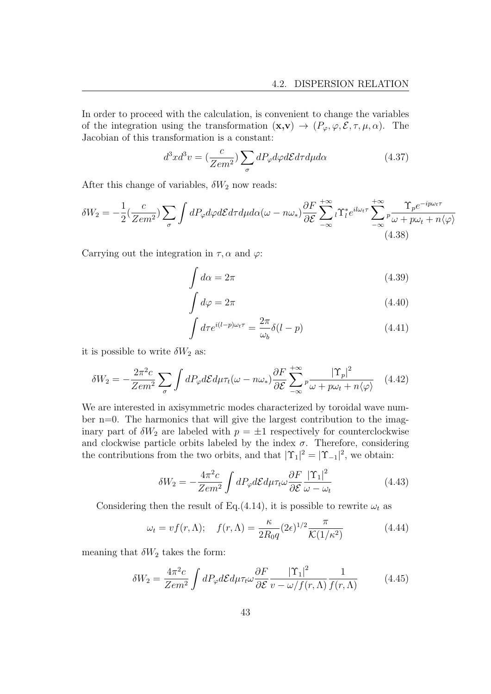In order to proceed with the calculation, is convenient to change the variables of the integration using the transformation  $(\mathbf{x}, \mathbf{v}) \to (P_{\varphi}, \varphi, \mathcal{E}, \tau, \mu, \alpha)$ . The Jacobian of this transformation is a constant:

$$
d^3x d^3v = \left(\frac{c}{Zem^2}\right) \sum_{\sigma} dP_{\varphi} d\varphi d\mathcal{E} d\tau d\mu d\alpha \tag{4.37}
$$

After this change of variables,  $\delta W_2$  now reads:

$$
\delta W_2 = -\frac{1}{2} \left( \frac{c}{Zem^2} \right) \sum_{\sigma} \int dP_{\varphi} d\varphi d\mathcal{E} d\tau d\mu d\alpha (\omega - n\omega_*) \frac{\partial F}{\partial \mathcal{E}} \sum_{-\infty}^{+\infty} {}_{l} \Upsilon_{l}^* e^{i l \omega_l \tau} \sum_{-\infty}^{+\infty} {}_{p} \frac{\Upsilon_{p} e^{-ip\omega_l \tau}}{\omega + p\omega_l + n \langle \varphi \rangle}
$$
\n(4.38)

Carrying out the integration in  $\tau, \alpha$  and  $\varphi$ :

$$
\int d\alpha = 2\pi \tag{4.39}
$$

$$
\int d\varphi = 2\pi \tag{4.40}
$$

$$
\int d\tau e^{i(l-p)\omega_t \tau} = \frac{2\pi}{\omega_b} \delta(l-p)
$$
\n(4.41)

it is possible to write  $\delta W_2$  as:

$$
\delta W_2 = -\frac{2\pi^2 c}{Z e m^2} \sum_{\sigma} \int dP_{\varphi} d\mathcal{E} d\mu \tau_t(\omega - n\omega_*) \frac{\partial F}{\partial \mathcal{E}} \sum_{-\infty}^{+\infty} p \frac{|\Upsilon_p|^2}{\omega + p\omega_t + n\langle\varphi\rangle} \tag{4.42}
$$

We are interested in axisymmetric modes characterized by toroidal wave number  $n=0$ . The harmonics that will give the largest contribution to the imaginary part of  $\delta W_2$  are labeled with  $p = \pm 1$  respectively for counterclockwise and clockwise particle orbits labeled by the index  $\sigma$ . Therefore, considering the contributions from the two orbits, and that  $|\Upsilon_1|^2 = |\Upsilon_{-1}|^2$ , we obtain:

$$
\delta W_2 = -\frac{4\pi^2 c}{Z e m^2} \int dP_{\varphi} d\mathcal{E} d\mu \tau_t \omega \frac{\partial F}{\partial \mathcal{E}} \frac{|\Upsilon_1|^2}{\omega - \omega_t}
$$
(4.43)

Considering then the result of Eq.(4.14), it is possible to rewrite  $\omega_t$  as

$$
\omega_t = v f(r, \Lambda); \quad f(r, \Lambda) = \frac{\kappa}{2R_0 q} (2\epsilon)^{1/2} \frac{\pi}{\mathcal{K}(1/\kappa^2)} \tag{4.44}
$$

meaning that  $\delta W_2$  takes the form:

$$
\delta W_2 = \frac{4\pi^2 c}{Z e m^2} \int dP_{\varphi} d\mathcal{E} d\mu \tau_t \omega \frac{\partial F}{\partial \mathcal{E}} \frac{|\Upsilon_1|^2}{v - \omega/f(r, \Lambda)} \frac{1}{f(r, \Lambda)} \tag{4.45}
$$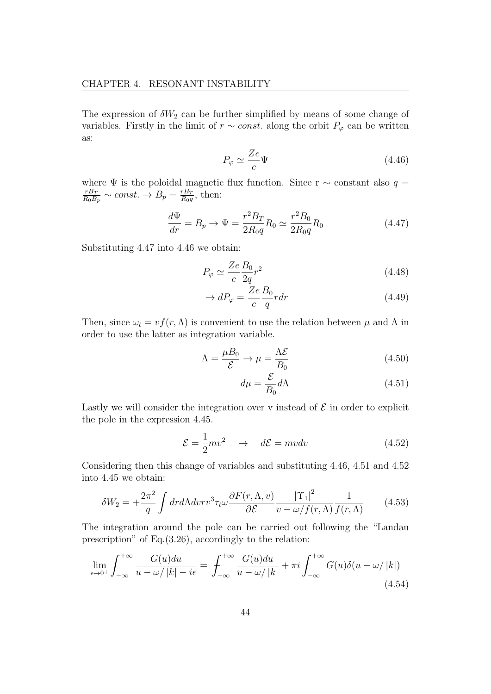The expression of  $\delta W_2$  can be further simplified by means of some change of variables. Firstly in the limit of  $r \sim const.$  along the orbit  $P_{\varphi}$  can be written as:

$$
P_{\varphi} \simeq \frac{Ze}{c}\Psi\tag{4.46}
$$

where  $\Psi$  is the poloidal magnetic flux function. Since r  $\sim$  constant also  $q =$  $rB_T$  $\frac{rB_T}{R_0B_p} \sim const. \rightarrow B_p = \frac{rB_T}{R_0q}$  $\frac{rB_T}{R_0q}$ , then:

$$
\frac{d\Psi}{dr} = B_p \to \Psi = \frac{r^2 B_T}{2R_0 q} R_0 \simeq \frac{r^2 B_0}{2R_0 q} R_0 \tag{4.47}
$$

Substituting 4.47 into 4.46 we obtain:

$$
P_{\varphi} \simeq \frac{Ze}{c} \frac{B_0}{2q} r^2 \tag{4.48}
$$

$$
\rightarrow dP_{\varphi} = \frac{Ze}{c} \frac{B_0}{q} r dr \tag{4.49}
$$

Then, since  $\omega_t = v f(r, \Lambda)$  is convenient to use the relation between  $\mu$  and  $\Lambda$  in order to use the latter as integration variable.

$$
\Lambda = \frac{\mu B_0}{\mathcal{E}} \to \mu = \frac{\Lambda \mathcal{E}}{B_0} \tag{4.50}
$$

$$
d\mu = \frac{\mathcal{E}}{B_0} d\Lambda \tag{4.51}
$$

Lastly we will consider the integration over v instead of  $\mathcal E$  in order to explicit the pole in the expression 4.45.

$$
\mathcal{E} = \frac{1}{2}mv^2 \quad \to \quad d\mathcal{E} = mvdv \tag{4.52}
$$

Considering then this change of variables and substituting 4.46, 4.51 and 4.52 into 4.45 we obtain:

$$
\delta W_2 = +\frac{2\pi^2}{q} \int dr d\Lambda dv r v^3 \tau_t \omega \frac{\partial F(r,\Lambda,v)}{\partial \mathcal{E}} \frac{|\Upsilon_1|^2}{v - \omega/f(r,\Lambda)} \frac{1}{f(r,\Lambda)} \tag{4.53}
$$

The integration around the pole can be carried out following the "Landau prescription" of Eq.(3.26), accordingly to the relation:

$$
\lim_{\epsilon \to 0^+} \int_{-\infty}^{+\infty} \frac{G(u) du}{u - \omega / |k| - i\epsilon} = \int_{-\infty}^{+\infty} \frac{G(u) du}{u - \omega / |k|} + \pi i \int_{-\infty}^{+\infty} G(u) \delta(u - \omega / |k|)
$$
\n(4.54)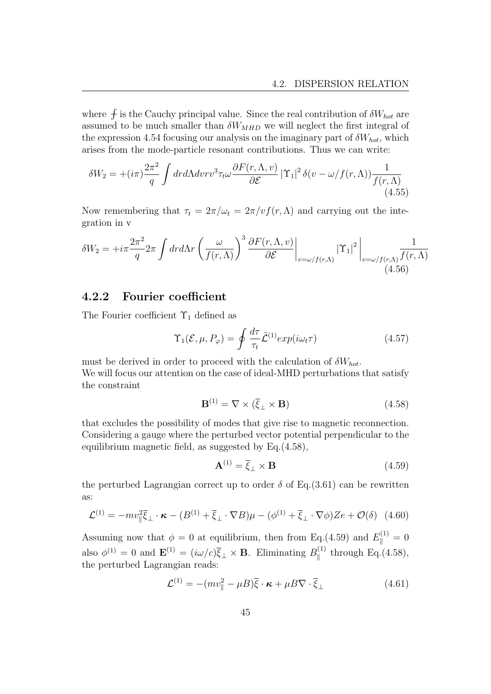where  $\oint$  is the Cauchy principal value. Since the real contribution of  $\delta W_{hot}$  are assumed to be much smaller than  $\delta W_{MHD}$  we will neglect the first integral of the expression 4.54 focusing our analysis on the imaginary part of  $\delta W_{hot}$ , which arises from the mode-particle resonant contributions. Thus we can write:

$$
\delta W_2 = +(i\pi)\frac{2\pi^2}{q} \int dr d\Lambda dr r v^3 \tau_t \omega \frac{\partial F(r,\Lambda,v)}{\partial \mathcal{E}} |\Upsilon_1|^2 \delta(v-\omega/f(r,\Lambda)) \frac{1}{f(r,\Lambda)}
$$
\n(4.55)

Now remembering that  $\tau_t = 2\pi/\omega_t = 2\pi/v f(r,\Lambda)$  and carrying out the integration in v

$$
\delta W_2 = +i\pi \frac{2\pi^2}{q} 2\pi \int dr d\Lambda r \left(\frac{\omega}{f(r,\Lambda)}\right)^3 \frac{\partial F(r,\Lambda,v)}{\partial \mathcal{E}} \bigg|_{v=\omega/f(r,\Lambda)} |\Upsilon_1|^2 \bigg|_{v=\omega/f(r,\Lambda)} \frac{1}{f(r,\Lambda)} \frac{1}{(4.56)}
$$

#### 4.2.2 Fourier coefficient

The Fourier coefficient  $\Upsilon_1$  defined as

$$
\Upsilon_1(\mathcal{E}, \mu, P_{\varphi}) = \oint \frac{d\tau}{\tau_t} \tilde{\mathcal{L}}^{(1)} exp(i\omega_t \tau) \tag{4.57}
$$

must be derived in order to proceed with the calculation of  $\delta W_{hot}$ . We will focus our attention on the case of ideal-MHD perturbations that satisfy the constraint

$$
\mathbf{B}^{(1)} = \nabla \times (\overline{\xi}_{\perp} \times \mathbf{B}) \tag{4.58}
$$

that excludes the possibility of modes that give rise to magnetic reconnection. Considering a gauge where the perturbed vector potential perpendicular to the equilibrium magnetic field, as suggested by Eq.(4.58),

$$
\mathbf{A}^{(1)} = \overline{\xi}_{\perp} \times \mathbf{B} \tag{4.59}
$$

the perturbed Lagrangian correct up to order  $\delta$  of Eq.(3.61) can be rewritten as:

$$
\mathcal{L}^{(1)} = -mv_{\parallel}^2 \overline{\xi}_{\perp} \cdot \kappa - (B^{(1)} + \overline{\xi}_{\perp} \cdot \nabla B)\mu - (\phi^{(1)} + \overline{\xi}_{\perp} \cdot \nabla \phi)Ze + \mathcal{O}(\delta) \tag{4.60}
$$

Assuming now that  $\phi = 0$  at equilibrium, then from Eq.(4.59) and  $E_{\parallel}^{(1)} = 0$ also  $\phi^{(1)} = 0$  and  $\mathbf{E}^{(1)} = (i\omega/c)\bar{\xi}_{\perp} \times \mathbf{B}$ . Eliminating  $B_{\parallel}^{(1)}$  $E_q(4.58)$ , the perturbed Lagrangian reads:

$$
\mathcal{L}^{(1)} = -(mv_{\parallel}^2 - \mu B)\overline{\xi} \cdot \kappa + \mu B \nabla \cdot \overline{\xi}_{\perp}
$$
 (4.61)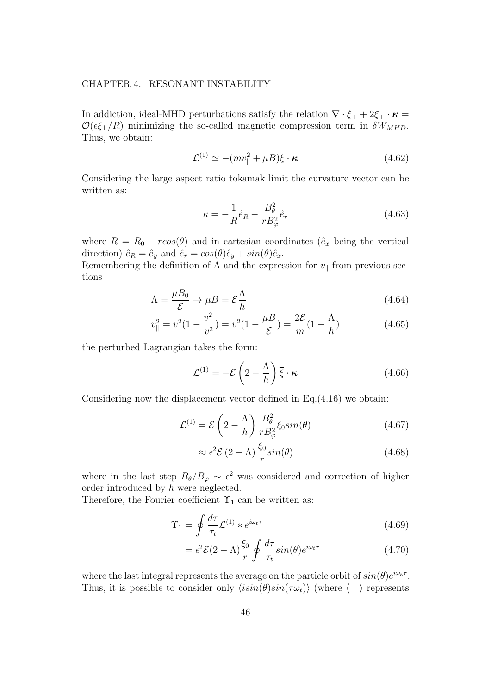In addiction, ideal-MHD perturbations satisfy the relation  $\nabla \cdot \overline{\xi}_{\perp} + 2\overline{\xi}_{\perp} \cdot \kappa =$  $\mathcal{O}(\epsilon \xi_{\perp}/R)$  minimizing the so-called magnetic compression term in  $\delta W_{MHD}$ . Thus, we obtain:

$$
\mathcal{L}^{(1)} \simeq -(mv_{\parallel}^2 + \mu B)\overline{\xi} \cdot \kappa \tag{4.62}
$$

Considering the large aspect ratio tokamak limit the curvature vector can be written as:

$$
\kappa = -\frac{1}{R}\hat{e}_R - \frac{B_\theta^2}{rB_\varphi^2}\hat{e}_r
$$
\n(4.63)

where  $R = R_0 + r\cos(\theta)$  and in cartesian coordinates ( $\hat{e}_x$  being the vertical direction)  $\hat{e}_R = \hat{e}_y$  and  $\hat{e}_r = \cos(\theta)\hat{e}_y + \sin(\theta)\hat{e}_x$ .

Remembering the definition of  $\Lambda$  and the expression for  $v_{\parallel}$  from previous sections

$$
\Lambda = \frac{\mu B_0}{\mathcal{E}} \to \mu B = \mathcal{E} \frac{\Lambda}{h}
$$
\n(4.64)

$$
v_{\parallel}^{2} = v^{2} (1 - \frac{v_{\perp}^{2}}{v^{2}}) = v^{2} (1 - \frac{\mu B}{\mathcal{E}}) = \frac{2\mathcal{E}}{m} (1 - \frac{\Lambda}{h})
$$
(4.65)

the perturbed Lagrangian takes the form:

$$
\mathcal{L}^{(1)} = -\mathcal{E}\left(2 - \frac{\Lambda}{h}\right)\overline{\xi} \cdot \kappa \tag{4.66}
$$

Considering now the displacement vector defined in Eq.(4.16) we obtain:

$$
\mathcal{L}^{(1)} = \mathcal{E}\left(2 - \frac{\Lambda}{h}\right) \frac{B_{\theta}^{2}}{r B_{\varphi}^{2}} \xi_{0} sin(\theta)
$$
\n(4.67)

$$
\approx \epsilon^2 \mathcal{E} (2 - \Lambda) \frac{\xi_0}{r} \sin(\theta) \tag{4.68}
$$

where in the last step  $B_{\theta}/B_{\varphi} \sim \epsilon^2$  was considered and correction of higher order introduced by h were neglected.

Therefore, the Fourier coefficient  $\Upsilon_1$  can be written as:

$$
\Upsilon_1 = \oint \frac{d\tau}{\tau_t} \mathcal{L}^{(1)} * e^{i\omega_t \tau} \tag{4.69}
$$

$$
= \epsilon^2 \mathcal{E} (2 - \Lambda) \frac{\xi_0}{r} \oint \frac{d\tau}{\tau_t} \sin(\theta) e^{i\omega_t \tau}
$$
 (4.70)

where the last integral represents the average on the particle orbit of  $sin(\theta)e^{i\omega_b \tau}$ . Thus, it is possible to consider only  $\langle i\sin(\theta)\sin(\tau\omega_t)\rangle$  (where  $\langle \rangle$ ) represents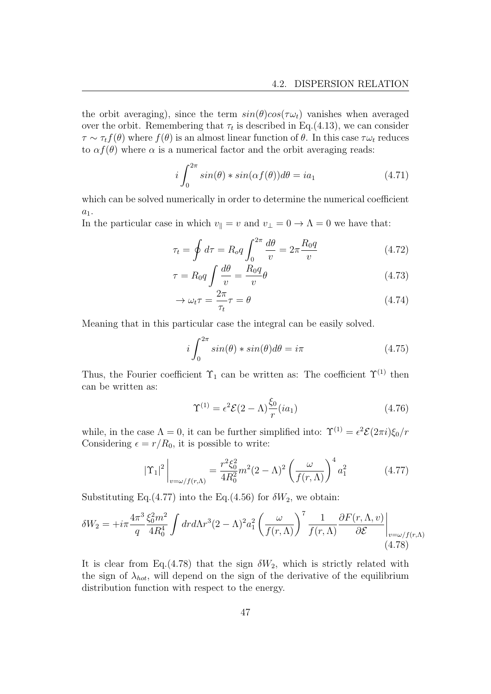the orbit averaging), since the term  $sin(\theta)cos(\tau\omega_t)$  vanishes when averaged over the orbit. Remembering that  $\tau_t$  is described in Eq.(4.13), we can consider  $\tau \sim \tau_t f(\theta)$  where  $f(\theta)$  is an almost linear function of  $\theta$ . In this case  $\tau \omega_t$  reduces to  $\alpha f(\theta)$  where  $\alpha$  is a numerical factor and the orbit averaging reads:

$$
i\int_0^{2\pi} \sin(\theta) * \sin(\alpha f(\theta))d\theta = ia_1 \tag{4.71}
$$

which can be solved numerically in order to determine the numerical coefficient  $a_1$ .

In the particular case in which  $v_{\parallel} = v$  and  $v_{\perp} = 0 \rightarrow \Lambda = 0$  we have that:

$$
\tau_t = \oint d\tau = R_o q \int_0^{2\pi} \frac{d\theta}{v} = 2\pi \frac{R_0 q}{v} \tag{4.72}
$$

$$
\tau = R_0 q \int \frac{d\theta}{v} = \frac{R_0 q}{v} \theta \tag{4.73}
$$

$$
\rightarrow \omega_t \tau = \frac{2\pi}{\tau_t} \tau = \theta \tag{4.74}
$$

Meaning that in this particular case the integral can be easily solved.

$$
i\int_{0}^{2\pi} \sin(\theta) * \sin(\theta)d\theta = i\pi
$$
 (4.75)

Thus, the Fourier coefficient  $\Upsilon_1$  can be written as: The coefficient  $\Upsilon^{(1)}$  then can be written as:

$$
\Upsilon^{(1)} = \epsilon^2 \mathcal{E} (2 - \Lambda) \frac{\xi_0}{r} (ia_1)
$$
\n(4.76)

while, in the case  $\Lambda = 0$ , it can be further simplified into:  $\Upsilon^{(1)} = \epsilon^2 \mathcal{E}(2\pi i) \xi_0 / r$ Considering  $\epsilon = r/R_0$ , it is possible to write:

$$
|\Upsilon_1|^2 \bigg|_{v=\omega/f(r,\Lambda)} = \frac{r^2 \xi_0^2}{4R_0^2} m^2 (2-\Lambda)^2 \left(\frac{\omega}{f(r,\Lambda)}\right)^4 a_1^2 \tag{4.77}
$$

Substituting Eq.(4.77) into the Eq.(4.56) for  $\delta W_2$ , we obtain:

$$
\delta W_2 = +i\pi \frac{4\pi^3}{q} \frac{\xi_0^2 m^2}{4R_0^4} \int dr d\Lambda r^3 (2-\Lambda)^2 a_1^2 \left(\frac{\omega}{f(r,\Lambda)}\right)^7 \frac{1}{f(r,\Lambda)} \frac{\partial F(r,\Lambda,v)}{\partial \mathcal{E}} \bigg|_{v=\omega/f(r,\Lambda)}\tag{4.78}
$$

It is clear from Eq.(4.78) that the sign  $\delta W_2$ , which is strictly related with the sign of  $\lambda_{hot}$ , will depend on the sign of the derivative of the equilibrium distribution function with respect to the energy.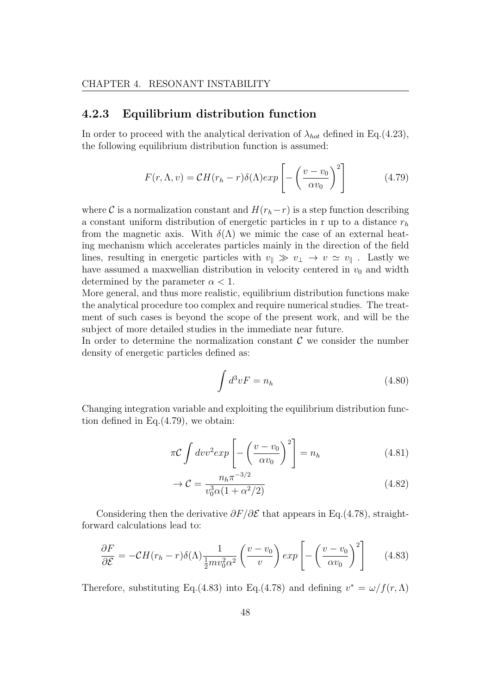#### 4.2.3 Equilibrium distribution function

In order to proceed with the analytical derivation of  $\lambda_{hot}$  defined in Eq.(4.23), the following equilibrium distribution function is assumed:

$$
F(r,\Lambda,v) = \mathcal{C}H(r_h - r)\delta(\Lambda)exp\left[-\left(\frac{v - v_0}{\alpha v_0}\right)^2\right]
$$
(4.79)

where C is a normalization constant and  $H(r_h-r)$  is a step function describing a constant uniform distribution of energetic particles in r up to a distance  $r<sub>h</sub>$ from the magnetic axis. With  $\delta(\Lambda)$  we mimic the case of an external heating mechanism which accelerates particles mainly in the direction of the field lines, resulting in energetic particles with  $v_{\parallel} \gg v_{\perp} \rightarrow v \simeq v_{\parallel}$ . Lastly we have assumed a maxwellian distribution in velocity centered in  $v_0$  and width determined by the parameter  $\alpha < 1$ .

More general, and thus more realistic, equilibrium distribution functions make the analytical procedure too complex and require numerical studies. The treatment of such cases is beyond the scope of the present work, and will be the subject of more detailed studies in the immediate near future.

In order to determine the normalization constant  $\mathcal C$  we consider the number density of energetic particles defined as:

$$
\int d^3v F = n_h \tag{4.80}
$$

Changing integration variable and exploiting the equilibrium distribution function defined in Eq.(4.79), we obtain:

$$
\pi \mathcal{C} \int dv v^2 exp\left[-\left(\frac{v - v_0}{\alpha v_0}\right)^2\right] = n_h \tag{4.81}
$$

$$
\rightarrow \mathcal{C} = \frac{n_h \pi^{-3/2}}{v_0^3 \alpha (1 + \alpha^2 / 2)}\tag{4.82}
$$

Considering then the derivative  $\partial F/\partial \mathcal{E}$  that appears in Eq.(4.78), straightforward calculations lead to:

$$
\frac{\partial F}{\partial \mathcal{E}} = -\mathcal{C}H(r_h - r)\delta(\Lambda)\frac{1}{\frac{1}{2}mv_0^2\alpha^2} \left(\frac{v - v_0}{v}\right)exp\left[-\left(\frac{v - v_0}{\alpha v_0}\right)^2\right] \tag{4.83}
$$

Therefore, substituting Eq.(4.83) into Eq.(4.78) and defining  $v^* = \omega/f(r, \Lambda)$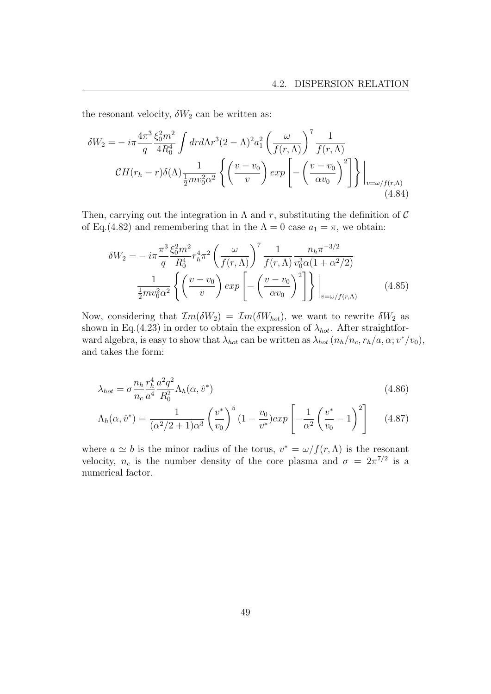the resonant velocity,  $\delta W_2$  can be written as:

$$
\delta W_2 = -i\pi \frac{4\pi^3}{q} \frac{\xi_0^2 m^2}{4R_0^4} \int dr d\Lambda r^3 (2-\Lambda)^2 a_1^2 \left(\frac{\omega}{f(r,\Lambda)}\right)^7 \frac{1}{f(r,\Lambda)}
$$

$$
\mathcal{C}H(r_h - r)\delta(\Lambda) \frac{1}{\frac{1}{2}mv_0^2 \alpha^2} \left\{ \left(\frac{v-v_0}{v}\right) \exp\left[-\left(\frac{v-v_0}{\alpha v_0}\right)^2\right] \right\} \Big|_{v=\omega/f(r,\Lambda)}
$$
(4.84)

Then, carrying out the integration in  $\Lambda$  and r, substituting the definition of C of Eq.(4.82) and remembering that in the  $\Lambda = 0$  case  $a_1 = \pi$ , we obtain:

$$
\delta W_2 = -i\pi \frac{\pi^3}{q} \frac{\xi_0^2 m^2}{R_0^4} r_h^4 \pi^2 \left(\frac{\omega}{f(r,\Lambda)}\right)^7 \frac{1}{f(r,\Lambda)} \frac{n_h \pi^{-3/2}}{v_0^3 \alpha (1 + \alpha^2/2)} \frac{1}{\frac{1}{2} m v_0^2 \alpha^2} \left\{ \left(\frac{v - v_0}{v}\right) exp\left[-\left(\frac{v - v_0}{\alpha v_0}\right)^2\right] \right\} \Big|_{v = \omega/f(r,\Lambda)} \tag{4.85}
$$

Now, considering that  $\mathcal{I}m(\delta W_2) = \mathcal{I}m(\delta W_{hot})$ , we want to rewrite  $\delta W_2$  as shown in Eq.(4.23) in order to obtain the expression of  $\lambda_{hot}$ . After straightforward algebra, is easy to show that  $\lambda_{hot}$  can be written as  $\lambda_{hot}$   $(n_h/n_c, r_h/a, \alpha; v^*/v_0)$ , and takes the form:

$$
\lambda_{hot} = \sigma \frac{n_h}{n_c} \frac{r_h^4}{a^4} \frac{a^2 q^2}{R_0^2} \Lambda_h(\alpha, \hat{v}^*)
$$
\n(4.86)

$$
\Lambda_h(\alpha, \hat{v}^*) = \frac{1}{(\alpha^2/2 + 1)\alpha^3} \left(\frac{v^*}{v_0}\right)^5 (1 - \frac{v_0}{v^*}) exp\left[-\frac{1}{\alpha^2} \left(\frac{v^*}{v_0} - 1\right)^2\right]
$$
(4.87)

where  $a \simeq b$  is the minor radius of the torus,  $v^* = \omega/f(r, \Lambda)$  is the resonant velocity,  $n_c$  is the number density of the core plasma and  $\sigma = 2\pi^{7/2}$  is a numerical factor.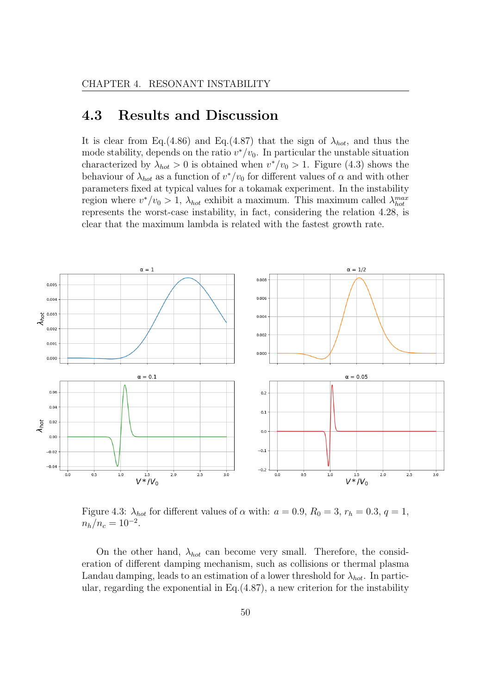## 4.3 Results and Discussion

It is clear from Eq.(4.86) and Eq.(4.87) that the sign of  $\lambda_{hot}$ , and thus the mode stability, depends on the ratio  $v^*/v_0$ . In particular the unstable situation characterized by  $\lambda_{hot} > 0$  is obtained when  $v^*/v_0 > 1$ . Figure (4.3) shows the behaviour of  $\lambda_{hot}$  as a function of  $v^*/v_0$  for different values of  $\alpha$  and with other parameters fixed at typical values for a tokamak experiment. In the instability region where  $v^*/v_0 > 1$ ,  $\lambda_{hot}$  exhibit a maximum. This maximum called  $\lambda_{hot}^{max}$ represents the worst-case instability, in fact, considering the relation 4.28, is clear that the maximum lambda is related with the fastest growth rate.



Figure 4.3:  $\lambda_{hot}$  for different values of  $\alpha$  with:  $a = 0.9$ ,  $R_0 = 3$ ,  $r_h = 0.3$ ,  $q = 1$ ,  $n_h/n_c = 10^{-2}$ .

On the other hand,  $\lambda_{hot}$  can become very small. Therefore, the consideration of different damping mechanism, such as collisions or thermal plasma Landau damping, leads to an estimation of a lower threshold for  $\lambda_{hot}$ . In particular, regarding the exponential in Eq.(4.87), a new criterion for the instability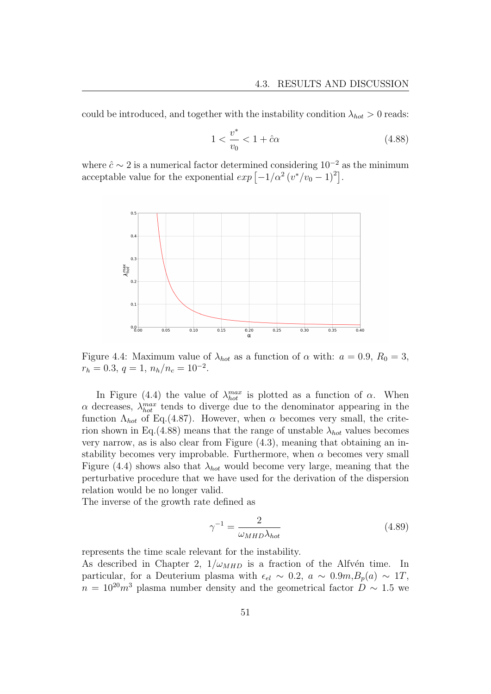could be introduced, and together with the instability condition  $\lambda_{hot} > 0$  reads:

$$
1 < \frac{v^*}{v_0} < 1 + \hat{c}\alpha \tag{4.88}
$$

where  $\hat{c} \sim 2$  is a numerical factor determined considering  $10^{-2}$  as the minimum acceptable value for the exponential  $exp[-1/\alpha^2(v^*/v_0-1)^2]$ .



Figure 4.4: Maximum value of  $\lambda_{hot}$  as a function of  $\alpha$  with:  $a = 0.9$ ,  $R_0 = 3$ ,  $r_h = 0.3, q = 1, n_h/n_c = 10^{-2}.$ 

In Figure (4.4) the value of  $\lambda_{hot}^{max}$  is plotted as a function of  $\alpha$ . When  $\alpha$  decreases,  $\lambda_{hot}^{max}$  tends to diverge due to the denominator appearing in the function  $\Lambda_{hot}$  of Eq.(4.87). However, when  $\alpha$  becomes very small, the criterion shown in Eq. (4.88) means that the range of unstable  $\lambda_{hot}$  values becomes very narrow, as is also clear from Figure (4.3), meaning that obtaining an instability becomes very improbable. Furthermore, when  $\alpha$  becomes very small Figure (4.4) shows also that  $\lambda_{hot}$  would become very large, meaning that the perturbative procedure that we have used for the derivation of the dispersion relation would be no longer valid.

The inverse of the growth rate defined as

$$
\gamma^{-1} = \frac{2}{\omega_{MHD}\lambda_{hot}}\tag{4.89}
$$

represents the time scale relevant for the instability.

As described in Chapter 2,  $1/\omega_{MHD}$  is a fraction of the Alfvén time. In particular, for a Deuterium plasma with  $\epsilon_{el} \sim 0.2$ ,  $a \sim 0.9m$ ,  $B_p(a) \sim 1T$ ,  $n = 10^{20}m^3$  plasma number density and the geometrical factor  $D \sim 1.5$  we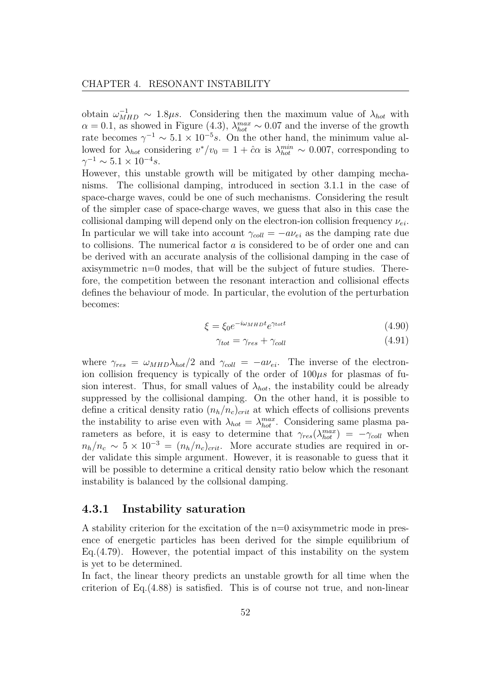obtain  $\omega_{MHD}^{-1} \sim 1.8 \mu s$ . Considering then the maximum value of  $\lambda_{hot}$  with  $\alpha = 0.1$ , as showed in Figure (4.3),  $\lambda_{hot}^{max} \sim 0.07$  and the inverse of the growth rate becomes  $\gamma^{-1} \sim 5.1 \times 10^{-5} s$ . On the other hand, the minimum value allowed for  $\lambda_{hot}$  considering  $v^*/v_0 = 1 + \hat{c}\alpha$  is  $\lambda_{hot}^{min} \sim 0.007$ , corresponding to  $\gamma^{-1} \sim 5.1 \times 10^{-4} s.$ 

However, this unstable growth will be mitigated by other damping mechanisms. The collisional damping, introduced in section 3.1.1 in the case of space-charge waves, could be one of such mechanisms. Considering the result of the simpler case of space-charge waves, we guess that also in this case the collisional damping will depend only on the electron-ion collision frequency  $\nu_{ei}$ . In particular we will take into account  $\gamma_{coll} = -a\nu_{ei}$  as the damping rate due to collisions. The numerical factor a is considered to be of order one and can be derived with an accurate analysis of the collisional damping in the case of axisymmetric n=0 modes, that will be the subject of future studies. Therefore, the competition between the resonant interaction and collisional effects defines the behaviour of mode. In particular, the evolution of the perturbation becomes:

$$
\xi = \xi_0 e^{-i\omega_{MHD}t} e^{\gamma_{tot}t} \tag{4.90}
$$

$$
\gamma_{tot} = \gamma_{res} + \gamma_{coll} \tag{4.91}
$$

where  $\gamma_{res} = \omega_{MHD} \lambda_{hot} / 2$  and  $\gamma_{coll} = -a \nu_{ei}$ . The inverse of the electronion collision frequency is typically of the order of  $100\mu s$  for plasmas of fusion interest. Thus, for small values of  $\lambda_{hot}$ , the instability could be already suppressed by the collisional damping. On the other hand, it is possible to define a critical density ratio  $(n_h/n_c)_{crit}$  at which effects of collisions prevents the instability to arise even with  $\lambda_{hot} = \lambda_{hot}^{max}$ . Considering same plasma parameters as before, it is easy to determine that  $\gamma_{res}(\lambda_{hot}^{max}) = -\gamma_{coll}$  when  $n_h/n_c \sim 5 \times 10^{-3} = (n_h/n_c)_{crit}$ . More accurate studies are required in order validate this simple argument. However, it is reasonable to guess that it will be possible to determine a critical density ratio below which the resonant instability is balanced by the collsional damping.

#### 4.3.1 Instability saturation

A stability criterion for the excitation of the n=0 axisymmetric mode in presence of energetic particles has been derived for the simple equilibrium of Eq.  $(4.79)$ . However, the potential impact of this instability on the system is yet to be determined.

In fact, the linear theory predicts an unstable growth for all time when the criterion of Eq.(4.88) is satisfied. This is of course not true, and non-linear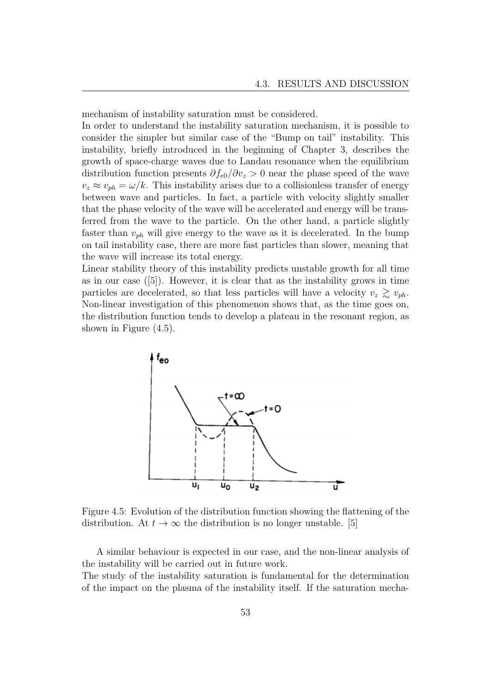mechanism of instability saturation must be considered.

In order to understand the instability saturation mechanism, it is possible to consider the simpler but similar case of the "Bump on tail" instability. This instability, briefly introduced in the beginning of Chapter 3, describes the growth of space-charge waves due to Landau resonance when the equilibrium distribution function presents  $\partial f_{e0}/\partial v_z > 0$  near the phase speed of the wave  $v_z \approx v_{ph} = \omega/k$ . This instability arises due to a collisionless transfer of energy between wave and particles. In fact, a particle with velocity slightly smaller that the phase velocity of the wave will be accelerated and energy will be transferred from the wave to the particle. On the other hand, a particle slightly faster than  $v_{ph}$  will give energy to the wave as it is decelerated. In the bump on tail instability case, there are more fast particles than slower, meaning that the wave will increase its total energy.

Linear stability theory of this instability predicts unstable growth for all time as in our case ([5]). However, it is clear that as the instability grows in time particles are decelerated, so that less particles will have a velocity  $v_z \geq v_{ph}$ . Non-linear investigation of this phenomenon shows that, as the time goes on, the distribution function tends to develop a plateau in the resonant region, as shown in Figure (4.5).



Figure 4.5: Evolution of the distribution function showing the flattening of the distribution. At  $t \to \infty$  the distribution is no longer unstable. [5]

A similar behaviour is expected in our case, and the non-linear analysis of the instability will be carried out in future work.

The study of the instability saturation is fundamental for the determination of the impact on the plasma of the instability itself. If the saturation mecha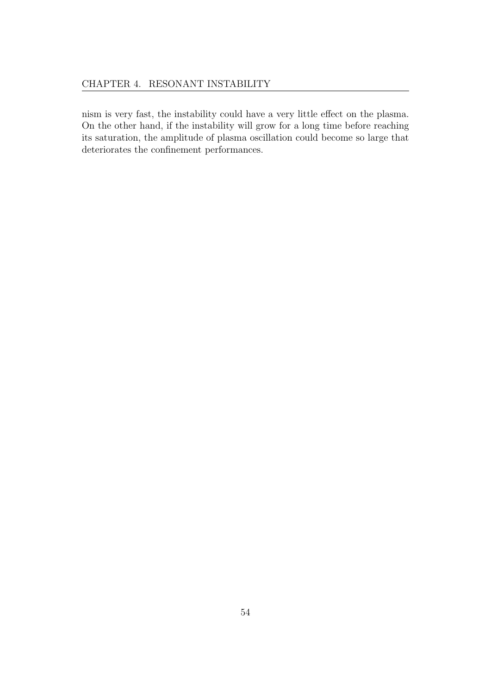nism is very fast, the instability could have a very little effect on the plasma. On the other hand, if the instability will grow for a long time before reaching its saturation, the amplitude of plasma oscillation could become so large that deteriorates the confinement performances.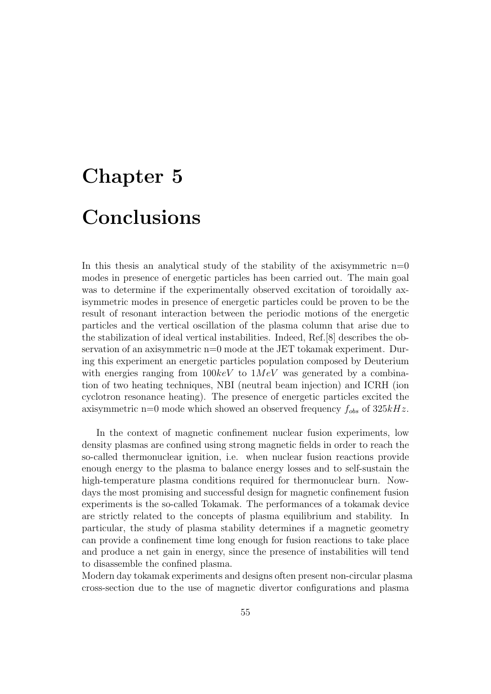# Chapter 5 Conclusions

In this thesis an analytical study of the stability of the axisymmetric  $n=0$ modes in presence of energetic particles has been carried out. The main goal was to determine if the experimentally observed excitation of toroidally axisymmetric modes in presence of energetic particles could be proven to be the result of resonant interaction between the periodic motions of the energetic particles and the vertical oscillation of the plasma column that arise due to the stabilization of ideal vertical instabilities. Indeed, Ref.[8] describes the observation of an axisymmetric n=0 mode at the JET tokamak experiment. During this experiment an energetic particles population composed by Deuterium with energies ranging from  $100keV$  to  $1MeV$  was generated by a combination of two heating techniques, NBI (neutral beam injection) and ICRH (ion cyclotron resonance heating). The presence of energetic particles excited the axisymmetric n=0 mode which showed an observed frequency  $f_{obs}$  of  $325kHz$ .

In the context of magnetic confinement nuclear fusion experiments, low density plasmas are confined using strong magnetic fields in order to reach the so-called thermonuclear ignition, i.e. when nuclear fusion reactions provide enough energy to the plasma to balance energy losses and to self-sustain the high-temperature plasma conditions required for thermonuclear burn. Nowdays the most promising and successful design for magnetic confinement fusion experiments is the so-called Tokamak. The performances of a tokamak device are strictly related to the concepts of plasma equilibrium and stability. In particular, the study of plasma stability determines if a magnetic geometry can provide a confinement time long enough for fusion reactions to take place and produce a net gain in energy, since the presence of instabilities will tend to disassemble the confined plasma.

Modern day tokamak experiments and designs often present non-circular plasma cross-section due to the use of magnetic divertor configurations and plasma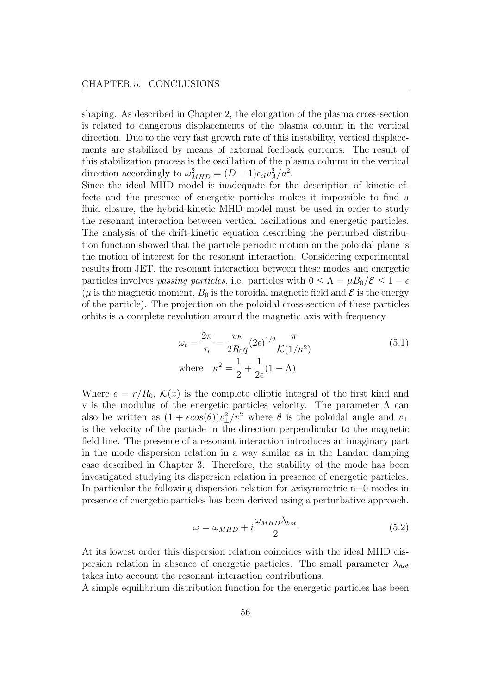shaping. As described in Chapter 2, the elongation of the plasma cross-section is related to dangerous displacements of the plasma column in the vertical direction. Due to the very fast growth rate of this instability, vertical displacements are stabilized by means of external feedback currents. The result of this stabilization process is the oscillation of the plasma column in the vertical direction accordingly to  $\omega_{MHD}^2 = (D-1)\epsilon_{el}v_A^2/a^2$ .

Since the ideal MHD model is inadequate for the description of kinetic effects and the presence of energetic particles makes it impossible to find a fluid closure, the hybrid-kinetic MHD model must be used in order to study the resonant interaction between vertical oscillations and energetic particles. The analysis of the drift-kinetic equation describing the perturbed distribution function showed that the particle periodic motion on the poloidal plane is the motion of interest for the resonant interaction. Considering experimental results from JET, the resonant interaction between these modes and energetic particles involves passing particles, i.e. particles with  $0 \leq \Lambda = \mu B_0/\mathcal{E} \leq 1 - \epsilon$ ( $\mu$  is the magnetic moment,  $B_0$  is the toroidal magnetic field and  $\mathcal E$  is the energy of the particle). The projection on the poloidal cross-section of these particles orbits is a complete revolution around the magnetic axis with frequency

$$
\omega_t = \frac{2\pi}{\tau_t} = \frac{v\kappa}{2R_0q} (2\epsilon)^{1/2} \frac{\pi}{\mathcal{K}(1/\kappa^2)}
$$
  
where 
$$
\kappa^2 = \frac{1}{2} + \frac{1}{2\epsilon} (1 - \Lambda)
$$
 (5.1)

Where  $\epsilon = r/R_0$ ,  $\mathcal{K}(x)$  is the complete elliptic integral of the first kind and v is the modulus of the energetic particles velocity. The parameter  $\Lambda$  can also be written as  $(1 + \epsilon cos(\theta))v_{\perp}^2/v^2$  where  $\theta$  is the poloidal angle and  $v_{\perp}$ is the velocity of the particle in the direction perpendicular to the magnetic field line. The presence of a resonant interaction introduces an imaginary part in the mode dispersion relation in a way similar as in the Landau damping case described in Chapter 3. Therefore, the stability of the mode has been investigated studying its dispersion relation in presence of energetic particles. In particular the following dispersion relation for axisymmetric n=0 modes in presence of energetic particles has been derived using a perturbative approach.

$$
\omega = \omega_{MHD} + i \frac{\omega_{MHD} \lambda_{hot}}{2} \tag{5.2}
$$

At its lowest order this dispersion relation coincides with the ideal MHD dispersion relation in absence of energetic particles. The small parameter  $\lambda_{hot}$ takes into account the resonant interaction contributions.

A simple equilibrium distribution function for the energetic particles has been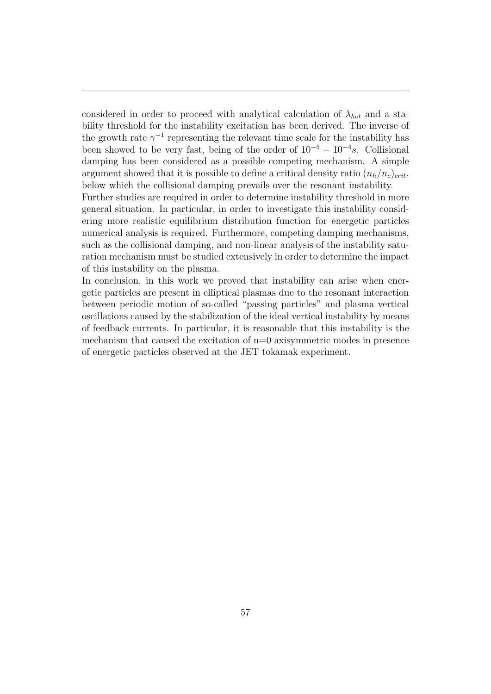considered in order to proceed with analytical calculation of  $\lambda_{hot}$  and a stability threshold for the instability excitation has been derived. The inverse of the growth rate  $\gamma^{-1}$  representing the relevant time scale for the instability has been showed to be very fast, being of the order of  $10^{-5} - 10^{-4}s$ . Collisional damping has been considered as a possible competing mechanism. A simple argument showed that it is possible to define a critical density ratio  $(n_h/n_c)_{crit}$ , below which the collisional damping prevails over the resonant instability.

Further studies are required in order to determine instability threshold in more general situation. In particular, in order to investigate this instability considering more realistic equilibrium distribution function for energetic particles numerical analysis is required. Furthermore, competing damping mechanisms, such as the collisional damping, and non-linear analysis of the instability saturation mechanism must be studied extensively in order to determine the impact of this instability on the plasma.

In conclusion, in this work we proved that instability can arise when energetic particles are present in elliptical plasmas due to the resonant interaction between periodic motion of so-called "passing particles" and plasma vertical oscillations caused by the stabilization of the ideal vertical instability by means of feedback currents. In particular, it is reasonable that this instability is the mechanism that caused the excitation of  $n=0$  axisymmetric modes in presence of energetic particles observed at the JET tokamak experiment.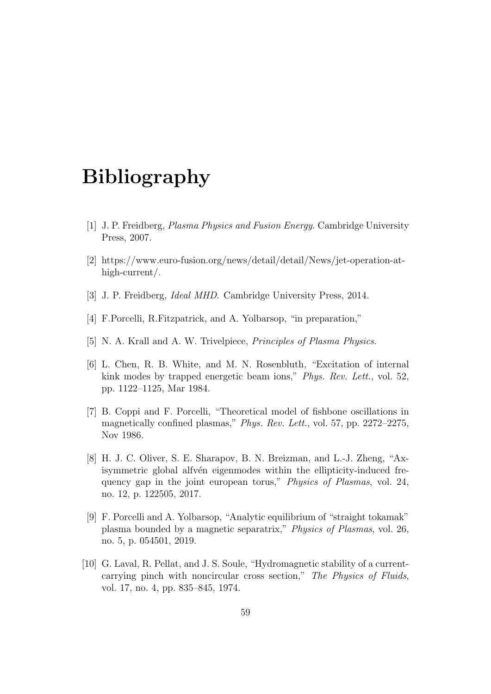# Bibliography

- [1] J. P. Freidberg, Plasma Physics and Fusion Energy. Cambridge University Press, 2007.
- [2] https://www.euro-fusion.org/news/detail/detail/News/jet-operation-athigh-current/.
- [3] J. P. Freidberg, Ideal MHD. Cambridge University Press, 2014.
- [4] F.Porcelli, R.Fitzpatrick, and A. Yolbarsop, "in preparation,"
- [5] N. A. Krall and A. W. Trivelpiece, *Principles of Plasma Physics*.
- [6] L. Chen, R. B. White, and M. N. Rosenbluth, "Excitation of internal kink modes by trapped energetic beam ions," *Phys. Rev. Lett.*, vol. 52, pp. 1122–1125, Mar 1984.
- [7] B. Coppi and F. Porcelli, "Theoretical model of fishbone oscillations in magnetically confined plasmas," Phys. Rev. Lett., vol. 57, pp. 2272–2275, Nov 1986.
- [8] H. J. C. Oliver, S. E. Sharapov, B. N. Breizman, and L.-J. Zheng, "Axisymmetric global alfvén eigenmodes within the ellipticity-induced frequency gap in the joint european torus," Physics of Plasmas, vol. 24, no. 12, p. 122505, 2017.
- [9] F. Porcelli and A. Yolbarsop, "Analytic equilibrium of "straight tokamak" plasma bounded by a magnetic separatrix," Physics of Plasmas, vol. 26, no. 5, p. 054501, 2019.
- [10] G. Laval, R. Pellat, and J. S. Soule, "Hydromagnetic stability of a currentcarrying pinch with noncircular cross section," The Physics of Fluids, vol. 17, no. 4, pp. 835–845, 1974.